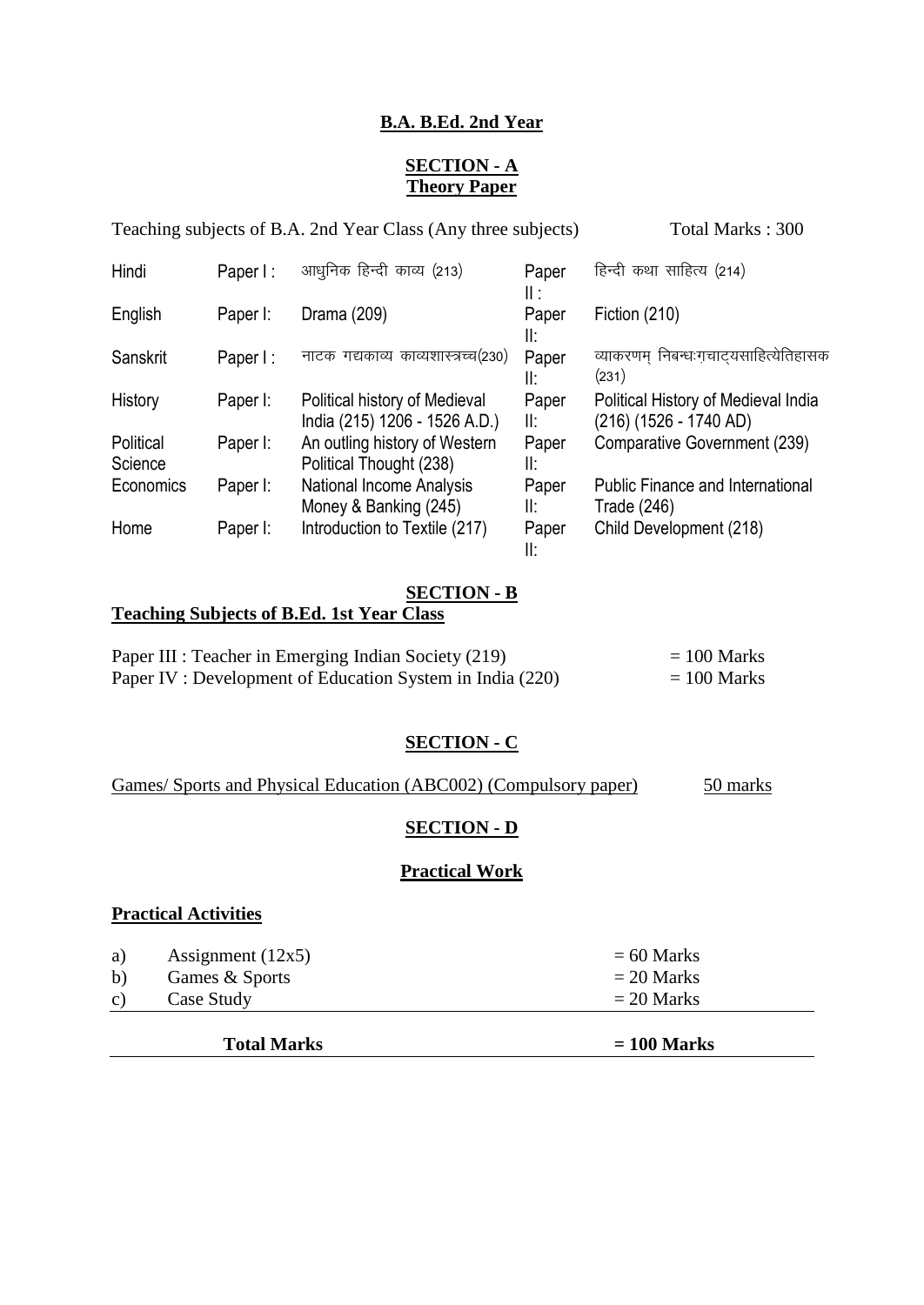# **B.A. B.Ed. 2nd Year**

## **SECTION - A Theory Paper**

Teaching subjects of B.A. 2nd Year Class (Any three subjects) Total Marks : 300

| Hindi                | Paper I: | आधुनिक हिन्दी काव्य (213)                                      | Paper<br>Ⅱ : | हिन्दी कथा साहित्य (214)                                      |
|----------------------|----------|----------------------------------------------------------------|--------------|---------------------------------------------------------------|
| English              | Paper I: | Drama (209)                                                    | Paper<br>II: | Fiction (210)                                                 |
| Sanskrit             | Paper I: | नाटक गद्यकाव्य काव्यशास्त्रच्च(230)                            | Paper<br>II: | व्याकरणम् निबन्धःगचाट्यसाहित्येतिहासक<br>(231)                |
| History              | Paper I: | Political history of Medieval<br>India (215) 1206 - 1526 A.D.) | Paper<br>II: | Political History of Medieval India<br>(216) (1526 - 1740 AD) |
| Political<br>Science | Paper I: | An outling history of Western<br>Political Thought (238)       | Paper<br>II: | Comparative Government (239)                                  |
| Economics            | Paper I: | <b>National Income Analysis</b><br>Money & Banking (245)       | Paper<br>II: | <b>Public Finance and International</b><br>Trade (246)        |
| Home                 | Paper I: | Introduction to Textile (217)                                  | Paper<br>II: | Child Development (218)                                       |

#### **SECTION - B**

# **Teaching Subjects of B.Ed. 1st Year Class**

| Paper III : Teacher in Emerging Indian Society (219)     | $= 100$ Marks |
|----------------------------------------------------------|---------------|
| Paper IV: Development of Education System in India (220) | $= 100$ Marks |

# **SECTION - C**

# Games/ Sports and Physical Education (ABC002) (Compulsory paper) 50 marks

#### **SECTION - D**

#### **Practical Work**

#### **Practical Activities**

| a)           | Assignment $(12x5)$ | $= 60$ Marks |
|--------------|---------------------|--------------|
| b)           | Games & Sports      | $= 20$ Marks |
| $\mathbf{c}$ | Case Study          | $= 20$ Marks |
|              |                     |              |

 **Total Marks = 100 Marks**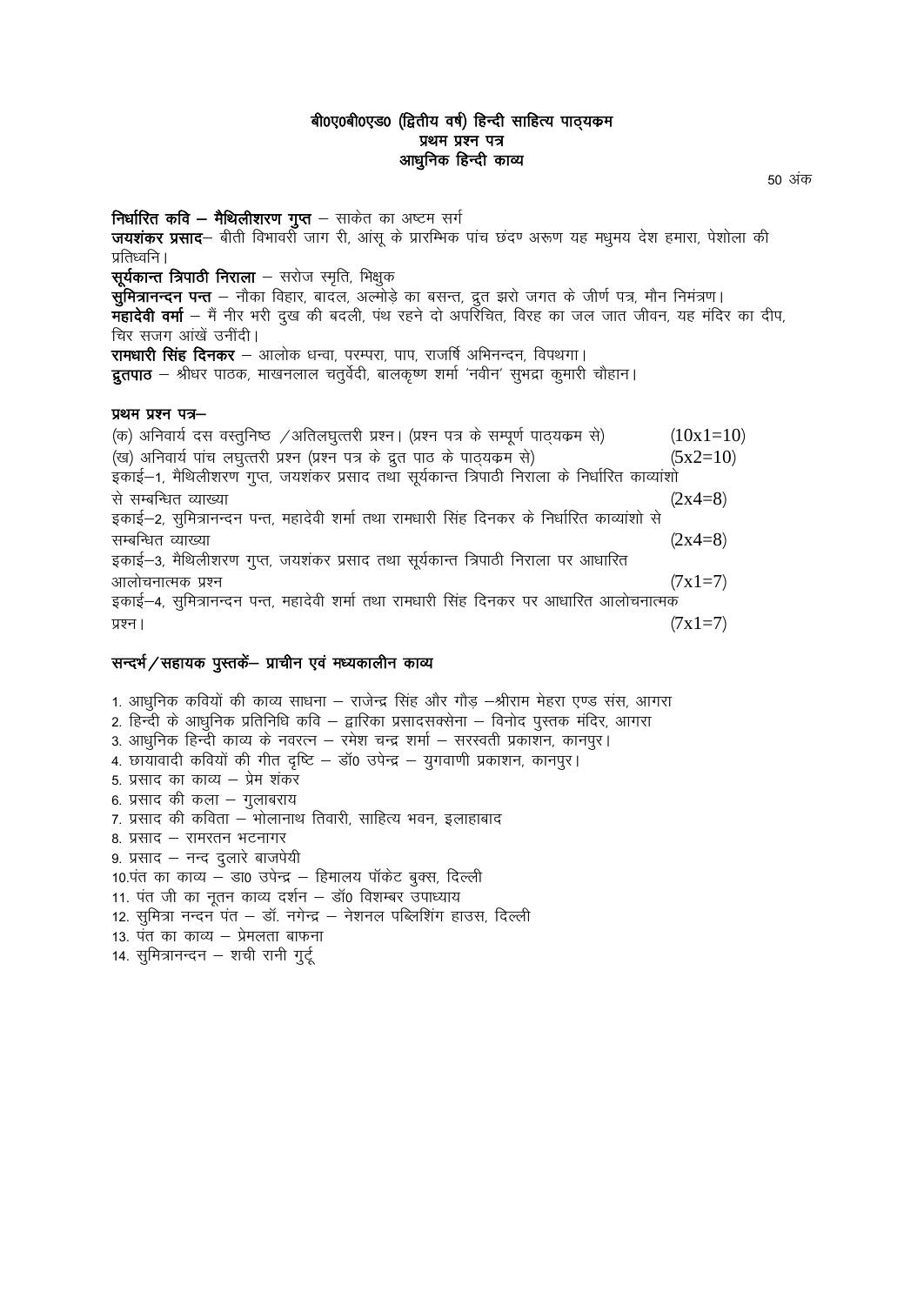#### बी0ए0बी0एड0 (द्वितीय वर्ष) हिन्दी साहित्य पाठ्यक्रम प्रथम प्रश्न पत्र आधुनिक हिन्दी काव्य

**निर्धारित कवि – मैथिलीशरण गुप्त** – साकेत का अष्टम सर्ग **जयशंकर प्रसाद**— बीती विभावर्रो जाग री, आंसू के प्रारम्भिक पांच छंदण अरूण यह मधुमय देश हमारा, पेशोला की प्रतिध्वनि ।  $\pi$ र्यकान्त त्रिपाठी निराला – सरोज स्मृति, भिक्षुक सुमित्रानन्दन पन्त – नौका विहार, बादल, अल्मोड़े का बसन्त, द्रुत झरो जगत के जीर्ण पत्र, मौन निमंत्रण। **महादेवी वर्मा** — मैं नीर भरी दुख की बदली, पंथ रहने दो अपरिचित, विरह का जल जात जीवन, यह मंदिर का दीप, चिर सजग आंखे उनीदी। रामधारी सिंह दिनकर – आलोक धन्वा, परम्परा, पाप, राजर्षि अभिनन्दन, विपथगा। **द्रुतपाठ** — श्रीधर पाठक, माखनलाल चतुर्वेदी, बालकृष्ण शर्मा 'नवीन' सुभद्रा कुमारी चौहान। प्रथम प्रश्न पत्र- $\langle \sigma \rangle$  अनिवार्य दस वस्तुनिष्ठ /अतिलघुत्तरी प्रश्न। (प्रश्न पत्र के सम्पूर्ण पाठ्यक्रम से) ( $10x1=10$ ) (ख) अनिवार्य पांच लघुत्तरी प्रश्न (प्रश्न पत्र के द्रुत पाठ के पाठयकम से)  $(5x2=10)$ 

इकाई–1, मैथिलीशरण गुप्त, जयशंकर प्रसाद तथा सूर्यकान्त त्रिपाठी निराला के निर्धारित काव्यांशो से सम्बन्धित व्याख्या $(2x4=8)$ इकाई—2, सुमित्रानन्दन पन्त, महादेवी शर्मा तथा रामधारी सिंह दिनकर के निर्धारित काव्यांशो से सम्बन्धित व्याख्या $(2x4=8)$ इकाई–3, मैथिलीशरण गुप्त, जयशंकर प्रसाद तथा सूर्यकान्त त्रिपाठी निराला पर आधारित आलोचनात्मक प्रश्न $(7x1=7)$ इकाई—4, सुमित्रानन्दन पन्त, महादेवी शर्मा तथा रामधारी सिंह दिनकर पर आधारित आलोचनात्मक प्रश्न ।  $(7x1=7)$ 

#### सन्दर्भ/सहायक पुस्तकें- प्राचीन एवं मध्यकालीन काव्य

1. आधुनिक कवियों की काव्य साधना – राजेन्द्र सिंह और गौड़ –श्रीराम मेहरा एण्ड संस, आगरा 2. हिन्दी के आधुनिक प्रतिनिधि कवि – द्वारिका प्रसादसक्सेना – विनोद पुस्तक मंदिर, आगरा 3. आधुनिक हिन्दी काव्य के नवरत्न – रमेश चन्द्र शर्मा – सरस्वती प्रकाशन, कानपुर। 4. छायावादी कवियों की गीत दृष्टि – डॉ0 उपेन्द्र – युगवाणी प्रकाशन, कानपुर। 5. प्रसाद का काव्य – प्रेम शंकर 6. प्रसाद की कला – गुलाबराय 7. प्रसाद की कविता – भोलानाथ तिवारी, साहित्य भवन, इलाहाबाद 8. प्रसाद - रामरतन भटनागर 9. प्रसाद - नन्द दुलारे बाजपेयी  $10.$ पंत का काव्य – डा0 उपेन्द्र – हिमालय पॉकेट बुक्स, दिल्ली 11. पंत जी का नूतन काव्य दर्शन – डॉ0 विशम्बर उपाध्याय 12. सुमित्रा नन्दन पंत – डॉ. नगेन्द्र – नेशनल पब्लिशिंग हाउस, दिल्ली 13. पंत का काव्य – प्रेमलता बाफना 14. सुमित्रानन्दन - शची रानी गुर्टू

50 अंक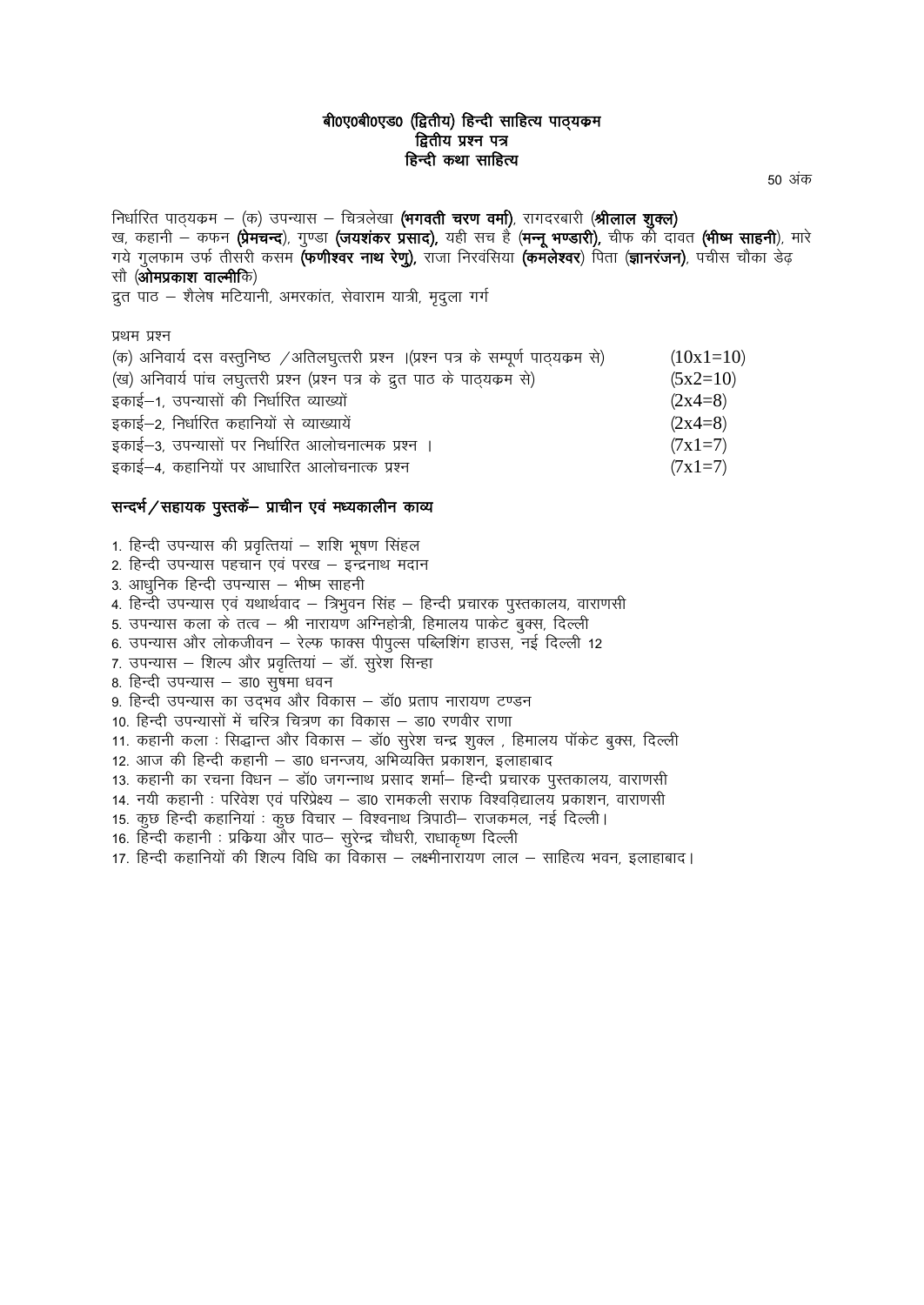#### बी0ए0बी0एड0 (द्वितीय) हिन्दी साहित्य पाठ्यकम द्वितीय प्रश्न पत्र हिन्दी कथा साहित्य

50 अंक

निर्धारित पाठ्यक्रम – (क) उपन्यास – चित्रलेखा (भगवती चरण वर्मा), रागदरबारी (श्रीलाल शुक्ल) ख, कहानी – कफन (प्रेमचन्द), गुण्डा (जयशंकर प्रसाद), यही सच है (मन्नू भण्डारी), चीफ की दावत (भीष्म साहनी), मारे गये गुलफाम उर्फ तीसरी कसम **(फणीश्वर नाथ रेणु)**, राजा निरवंसिया **(कमलेश्वर**) पिता (**ज्ञानरंजन)**, पचीस चौका डेढ़ सौ (**ओमप्रकाश वाल्मी**कि) द्रत पाठ - शैलेष मटियानी, अमरकांत, सेवाराम यात्री, मृद्ला गर्ग प्रथम प्रश्न<br>(क्र) अपियार्थ

| (क) अनिवार्य दस वस्तुनिष्ठ /अतिलघुत्तरी प्रश्न ।(प्रश्न पत्र के सम्पूर्ण पाठ्यक्रम से) | $(10x1=10)$ |
|----------------------------------------------------------------------------------------|-------------|
| (ख) अनिवार्य पांच लघुत्तरी प्रश्न (प्रश्न पत्र के द्रुत पाठ के पाठ्यक्रम से)           | $(5x2=10)$  |
| इकाई-1, उपन्यासों की निर्धारित व्याख्यों                                               | $(2x4=8)$   |
| इकाई–2, निर्धारित कहानियों से व्याख्यायें                                              | $(2x4=8)$   |
| इकाई–3, उपन्यासों पर निर्धारित आलोचनात्मक प्रश्न ।                                     | $(7x1=7)$   |
| इकाई-4, कहानियों पर आधारित आलोचनात्क प्रश्न                                            | $(7x1=7)$   |

#### सन्दर्भ/सहायक पुस्तकें- प्राचीन एवं मध्यकालीन काव्य

1. हिन्दी उपन्यास की प्रवृत्तियां – शशि भूषण सिंहल 2. हिन्दी उपन्यास पहचान एवं परख – इन्द्रनाथ मदान 3. आधुनिक हिन्दी उपन्यास – भीष्म साहनी 4. हिन्दी उपन्यास एवं यथार्थवाद – त्रिभवन सिंह – हिन्दी प्रचारक पस्तकालय, वाराणसी 5. उपन्यास कला के तत्व – श्री नारायण अग्निहोत्री, हिमालय पाकेट बुक्स, दिल्ली 6. उपन्यास और लोकजीवन – रेल्फ फाक्स पीपुल्स पब्लिशिंग हाउस, नई दिल्ली 12 7. उपन्यास – शिल्प और प्रवृत्तियां – डॉ. सूरेश सिन्हा 8. हिन्दी उपन्यास – डा0 सुषमा धवन 9. हिन्दी उपन्यास का उद्भव और विकास – डॉ0 प्रताप नारायण टण्डन 10. हिन्दी उपन्यासों में चारेत्र चित्रण का विकास – डा0 रणवीर राणा 11. कहानी कला : सिद्धान्त और विकास – डॉ0 सुरेश चन्द्र शुक्ल , हिमालय पॉकेट बुक्स, दिल्ली 12. आज की हिन्दी कहानी – डा0 धनन्जय, अभिव्यक्ति प्रकाशन, इलाहाबाद 13. कहानी का रचना विधन – डॉ0 जगन्नाथ प्रसाद शर्मा– हिन्दी प्रचारक पुस्तकालय, वाराणसी 14. नयी कहानी : परिवेश एवं परिप्रेक्ष्य – डा0 रामकली सराफ विश्वविद्यालय प्रकाशन, वाराणसी 15. कुछ हिन्दी कहानियां : कुछ विचार – विश्वनाथ त्रिपाठी– राजकमल, नई दिल्ली। 16. हिन्दी कहानी : प्रक्रिया और पाठ– सूरेन्द्र चौधरी, राधाकृष्ण दिल्ली 17. हिन्दी कहानियों की शिल्प विधि का विकास – लक्ष्मीनारायण लाल – साहित्य भवन. इलाहाबाद।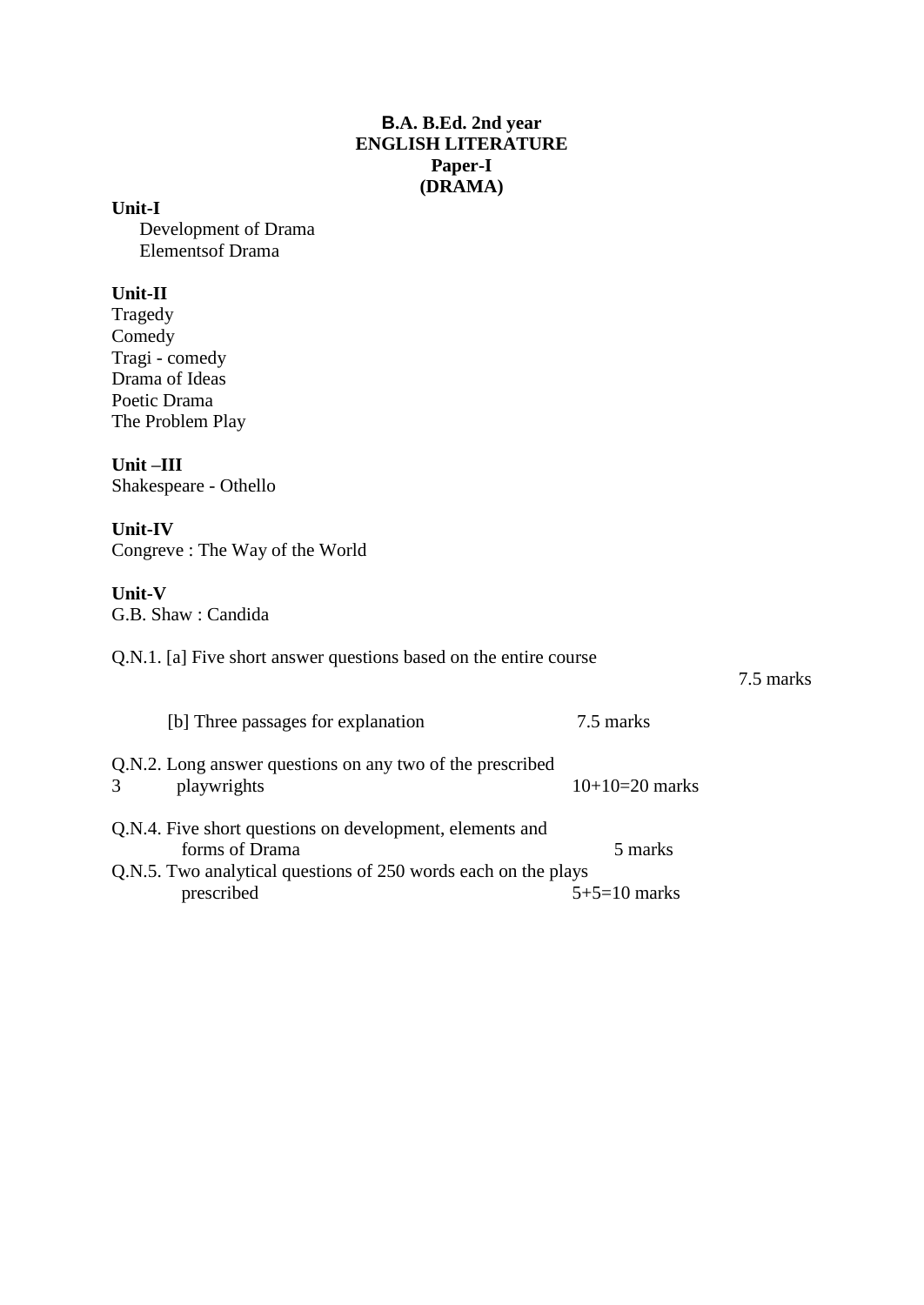## **B.A. B.Ed. 2nd year ENGLISH LITERATURE Paper-I (DRAMA)**

**Unit-I**

Development of Drama Elementsof Drama

## **Unit-II**

Tragedy Comedy Tragi - comedy Drama of Ideas Poetic Drama The Problem Play

**Unit –III**

Shakespeare - Othello

## **Unit-IV**

Congreve : The Way of the World

## **Unit-V**

G.B. Shaw : Candida

Q.N.1. [a] Five short answer questions based on the entire course

## 7.5 marks

| [b] Three passages for explanation                                                         | 7.5 marks        |
|--------------------------------------------------------------------------------------------|------------------|
| Q.N.2. Long answer questions on any two of the prescribed<br>3 <sup>1</sup><br>playwrights | $10+10=20$ marks |
| Q.N.4. Five short questions on development, elements and                                   |                  |
| forms of Drama                                                                             | 5 marks          |
| Q.N.5. Two analytical questions of 250 words each on the plays                             |                  |
| prescribed                                                                                 | $5+5=10$ marks   |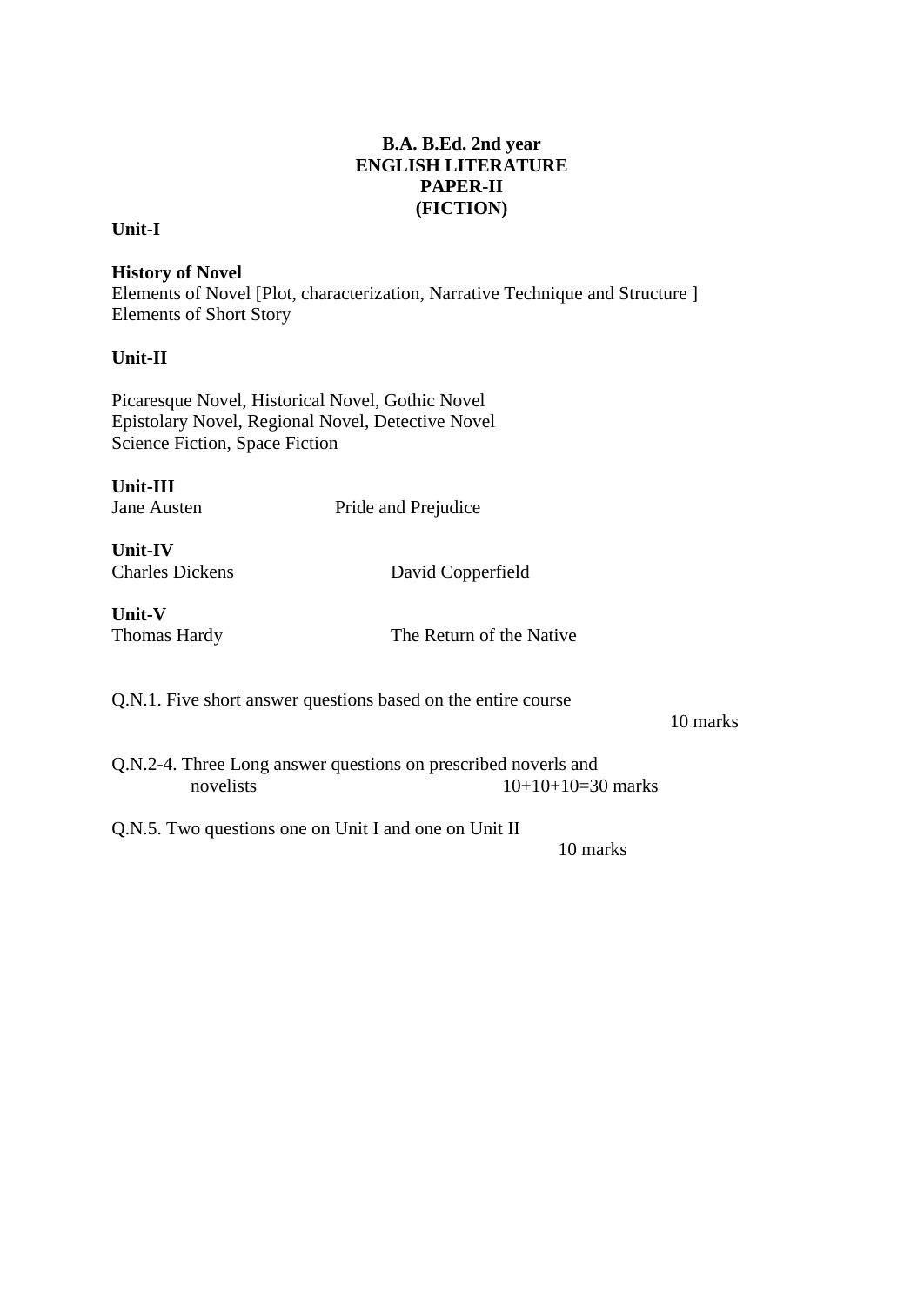# **B.A. B.Ed. 2nd year ENGLISH LITERATURE PAPER-II (FICTION)**

## **Unit-I**

**History of Novel**  Elements of Novel [Plot, characterization, Narrative Technique and Structure ] Elements of Short Story

## **Unit-II**

Picaresque Novel, Historical Novel, Gothic Novel Epistolary Novel, Regional Novel, Detective Novel Science Fiction, Space Fiction

| <b>Unit-III</b> |             |
|-----------------|-------------|
|                 | Jane Austen |

Pride and Prejudice

**Unit-IV**

Charles Dickens David Copperfield

**Unit-V**

Thomas Hardy The Return of the Native

Q.N.1. Five short answer questions based on the entire course

10 marks

Q.N.2-4. Three Long answer questions on prescribed noverls and novelists  $10+10+10=30$  marks

Q.N.5. Two questions one on Unit I and one on Unit II

10 marks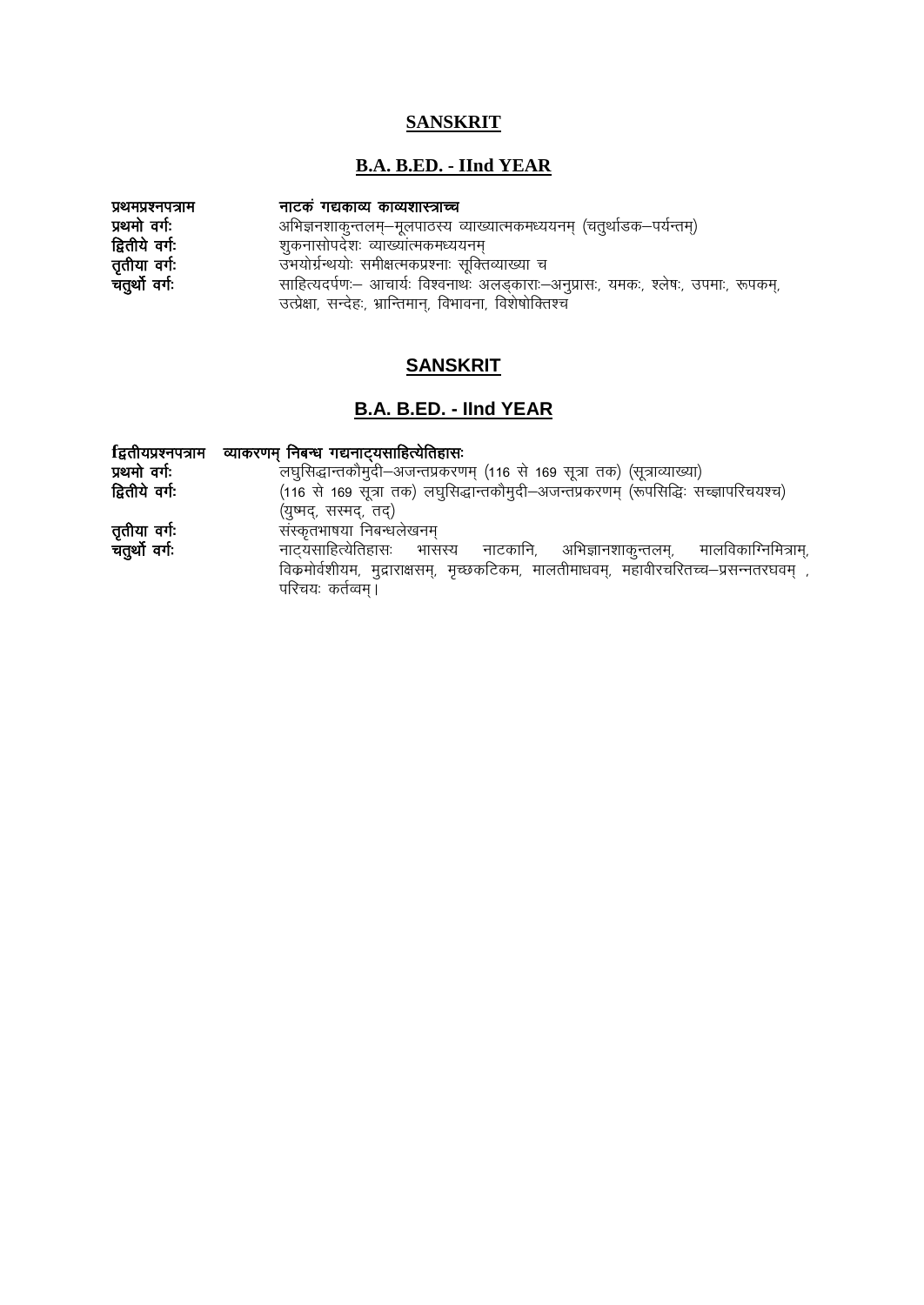# **SANSKRIT**

# **B.A. B.ED. - IInd YEAR**

| प्रथमप्रश्नपत्राम | नाटकं गद्यकाव्य काव्यशास्त्राच्च                                                     |
|-------------------|--------------------------------------------------------------------------------------|
| प्रथमो वर्गः      | अभिज्ञनशाकुन्तलम्–मूलपाठस्य व्याख्यात्मकमध्ययनम् (चतुर्थाडक–पर्यन्तम्)               |
| द्वितीये वर्गः    | शुकनासोपदेशः व्याख्यात्मकमध्ययनम्                                                    |
| तृतीया वर्गः      | उभयोर्ग्रन्थयोः समीक्षत्मकप्रश्नाः सूक्तिव्याख्या च                                  |
| चतुर्थो वर्गः     | साहित्यदर्पणः – आचार्यः विश्वनाथः अलङ्काराः –अनुप्रासः, यमकः, श्लेषः, उपमाः, रूपकम्, |
|                   | उत्प्रेक्षा, सन्देहः, भ्रान्तिमान्, विभावना, विशेषोक्तिश्च                           |

# **SANSKRIT**

# **B.A. B.ED. - IInd YEAR**

|                | fिद्वतीयप्रश्नपत्राम व्याकरणम् निबन्ध गद्यनाट् <b>यसाहित्येतिहासः</b>                  |
|----------------|----------------------------------------------------------------------------------------|
| प्रथमो वर्गः   | लघुसिद्धान्तकौमुदी–अजन्तप्रकरणम् (116 से 169 सूत्रा तक) (सूत्राव्याख्या)               |
| द्वितीये वर्गः | (116 से 169 सूत्रा तक) लघुसिद्धान्तकौमुदी-अजन्तप्रकरणम् (रूपसिद्धिः सच्ज्ञापरिचयश्च)   |
|                | (युष्मद्, सस्मद्, तद्)                                                                 |
| तृतीया वर्गः   | संस्कृतभाषया निबन्धलेखनम्                                                              |
| चतुर्थो वर्गः  | नाटयसाहित्येतिहासः भासस्य<br>नाटकानि, अभिज्ञानशाकुन्तलम्, मालविकाग्निमित्राम्,         |
|                | विक्रमोर्वशीयम, मुद्राराक्षसम्, मृच्छकटिकम, मालतीमाधवम्, महावीरचरितच्च–प्रसन्नतरघवम् , |
|                | परिचयः कर्तव्वम्।                                                                      |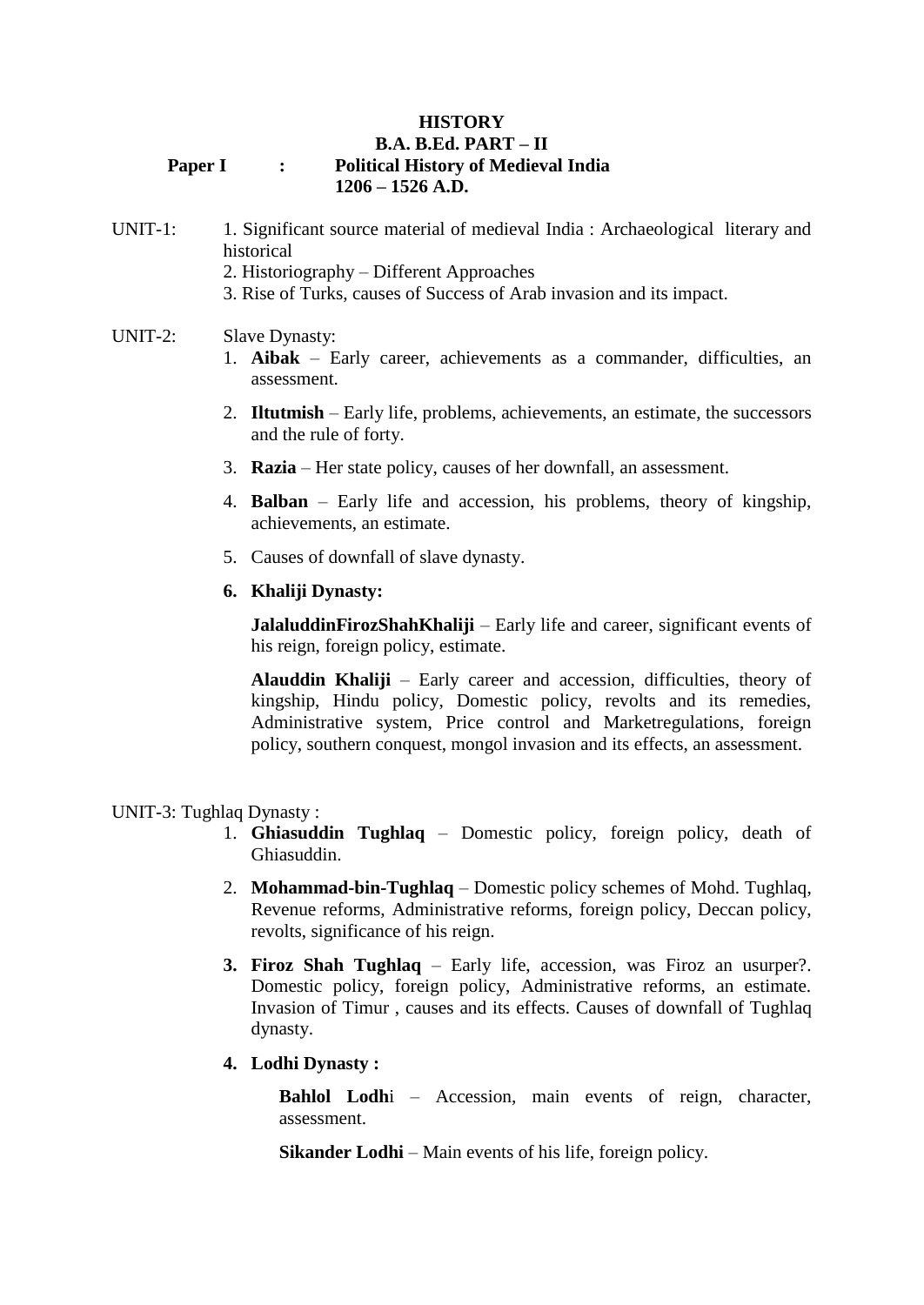### **HISTORY B.A. B.Ed. PART – II Paper I : Political History of Medieval India 1206 – 1526 A.D.**

## UNIT-1: 1. Significant source material of medieval India : Archaeological literary and historical

- 2. Historiography Different Approaches
- 3. Rise of Turks, causes of Success of Arab invasion and its impact.

#### UNIT-2: Slave Dynasty:

- 1. **Aibak** Early career, achievements as a commander, difficulties, an assessment.
- 2. **Iltutmish** Early life, problems, achievements, an estimate, the successors and the rule of forty.
- 3. **Razia** Her state policy, causes of her downfall, an assessment.
- 4. **Balban** Early life and accession, his problems, theory of kingship, achievements, an estimate.
- 5. Causes of downfall of slave dynasty.

#### **6. Khaliji Dynasty:**

**JalaluddinFirozShahKhaliji** – Early life and career, significant events of his reign, foreign policy, estimate.

**Alauddin Khaliji** – Early career and accession, difficulties, theory of kingship, Hindu policy, Domestic policy, revolts and its remedies, Administrative system, Price control and Marketregulations, foreign policy, southern conquest, mongol invasion and its effects, an assessment.

#### UNIT-3: Tughlaq Dynasty :

- 1. **Ghiasuddin Tughlaq** Domestic policy, foreign policy, death of Ghiasuddin.
- 2. **Mohammad-bin-Tughlaq** Domestic policy schemes of Mohd. Tughlaq, Revenue reforms, Administrative reforms, foreign policy, Deccan policy, revolts, significance of his reign.
- **3. Firoz Shah Tughlaq** Early life, accession, was Firoz an usurper?. Domestic policy, foreign policy, Administrative reforms, an estimate. Invasion of Timur , causes and its effects. Causes of downfall of Tughlaq dynasty.
- **4. Lodhi Dynasty :**

**Bahlol Lodh**i – Accession, main events of reign, character, assessment.

**Sikander Lodhi** – Main events of his life, foreign policy.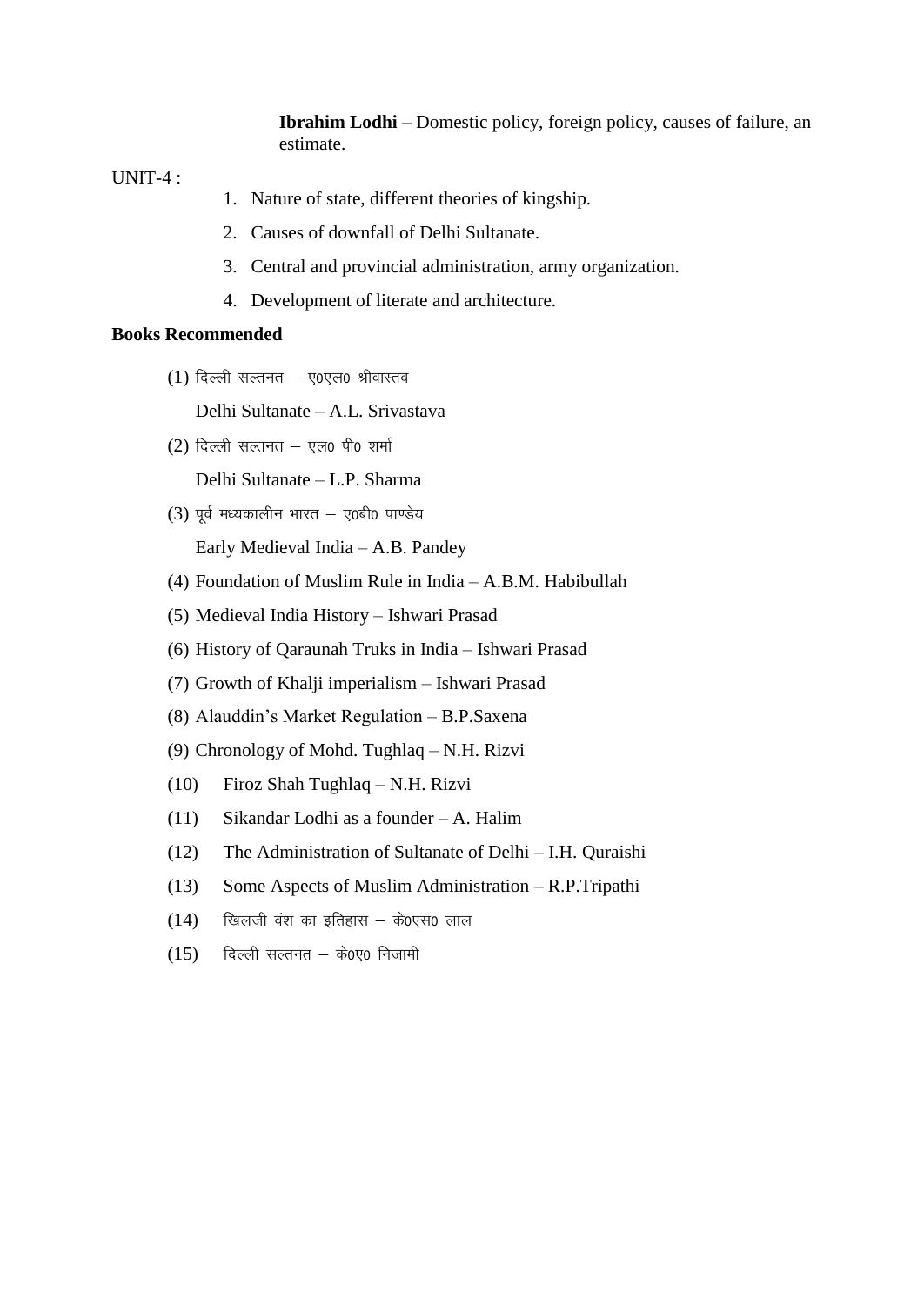**Ibrahim Lodhi** – Domestic policy, foreign policy, causes of failure, an estimate.

UNIT-4 :

- 1. Nature of state, different theories of kingship.
- 2. Causes of downfall of Delhi Sultanate.
- 3. Central and provincial administration, army organization.
- 4. Development of literate and architecture.

#### **Books Recommended**

 $(1)$  दिल्ली सल्तनत - ए0एल0 श्रीवास्तव

Delhi Sultanate – A.L. Srivastava

 $(2)$  दिल्ली सल्तनत - एल0 पी0 शर्मा

Delhi Sultanate – L.P. Sharma

 $(3)$  पूर्व मध्यकालीन भारत - ए0बी0 पाण्डेय

Early Medieval India – A.B. Pandey

- (4) Foundation of Muslim Rule in India A.B.M. Habibullah
- (5) Medieval India History Ishwari Prasad
- (6) History of Qaraunah Truks in India Ishwari Prasad
- (7) Growth of Khalji imperialism Ishwari Prasad
- (8) Alauddin's Market Regulation B.P.Saxena
- (9) Chronology of Mohd. Tughlaq N.H. Rizvi
- (10) Firoz Shah Tughlaq N.H. Rizvi
- (11) Sikandar Lodhi as a founder A. Halim
- (12) The Administration of Sultanate of Delhi I.H. Quraishi
- (13) Some Aspects of Muslim Administration R.P.Tripathi
- $(14)$  खिलजी वंश का इतिहास के0एस0 लाल
- $(15)$  दिल्ली सल्तनत के0ए0 निजामी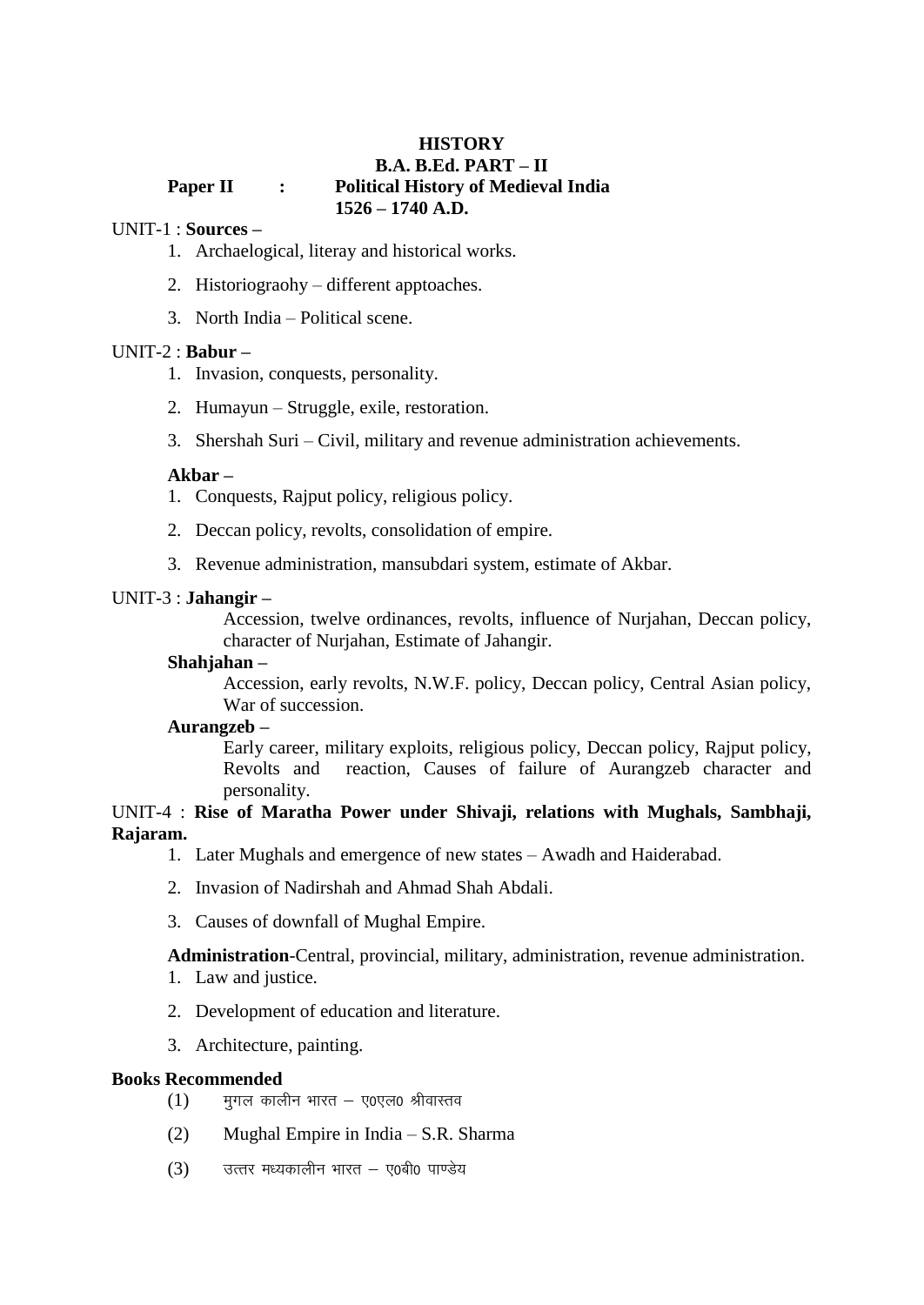#### **HISTORY B.A. B.Ed. PART – II Paper II : Political History of Medieval India 1526 – 1740 A.D.**

#### UNIT-1 : **Sources –**

- 1. Archaelogical, literay and historical works.
- 2. Historiograohy different apptoaches.
- 3. North India Political scene.

## UNIT-2 : **Babur –**

- 1. Invasion, conquests, personality.
- 2. Humayun Struggle, exile, restoration.
- 3. Shershah Suri Civil, military and revenue administration achievements.

#### **Akbar –**

- 1. Conquests, Rajput policy, religious policy.
- 2. Deccan policy, revolts, consolidation of empire.
- 3. Revenue administration, mansubdari system, estimate of Akbar.

#### UNIT-3 : **Jahangir –**

Accession, twelve ordinances, revolts, influence of Nurjahan, Deccan policy, character of Nurjahan, Estimate of Jahangir.

#### **Shahjahan –**

Accession, early revolts, N.W.F. policy, Deccan policy, Central Asian policy, War of succession.

#### **Aurangzeb –**

Early career, military exploits, religious policy, Deccan policy, Rajput policy, Revolts and reaction, Causes of failure of Aurangzeb character and personality.

## UNIT-4 : **Rise of Maratha Power under Shivaji, relations with Mughals, Sambhaji, Rajaram.**

- 1. Later Mughals and emergence of new states Awadh and Haiderabad.
- 2. Invasion of Nadirshah and Ahmad Shah Abdali.
- 3. Causes of downfall of Mughal Empire.

**Administration**-Central, provincial, military, administration, revenue administration.

- 1. Law and justice.
- 2. Development of education and literature.
- 3. Architecture, painting.

#### **Books Recommended**

- $(1)$  मगल कालीन भारत ए0एल0 श्रीवास्तव
- (2) Mughal Empire in India S.R. Sharma
- $(3)$  उत्तर मध्यकालीन भारत ए0बी0 पाण्डेय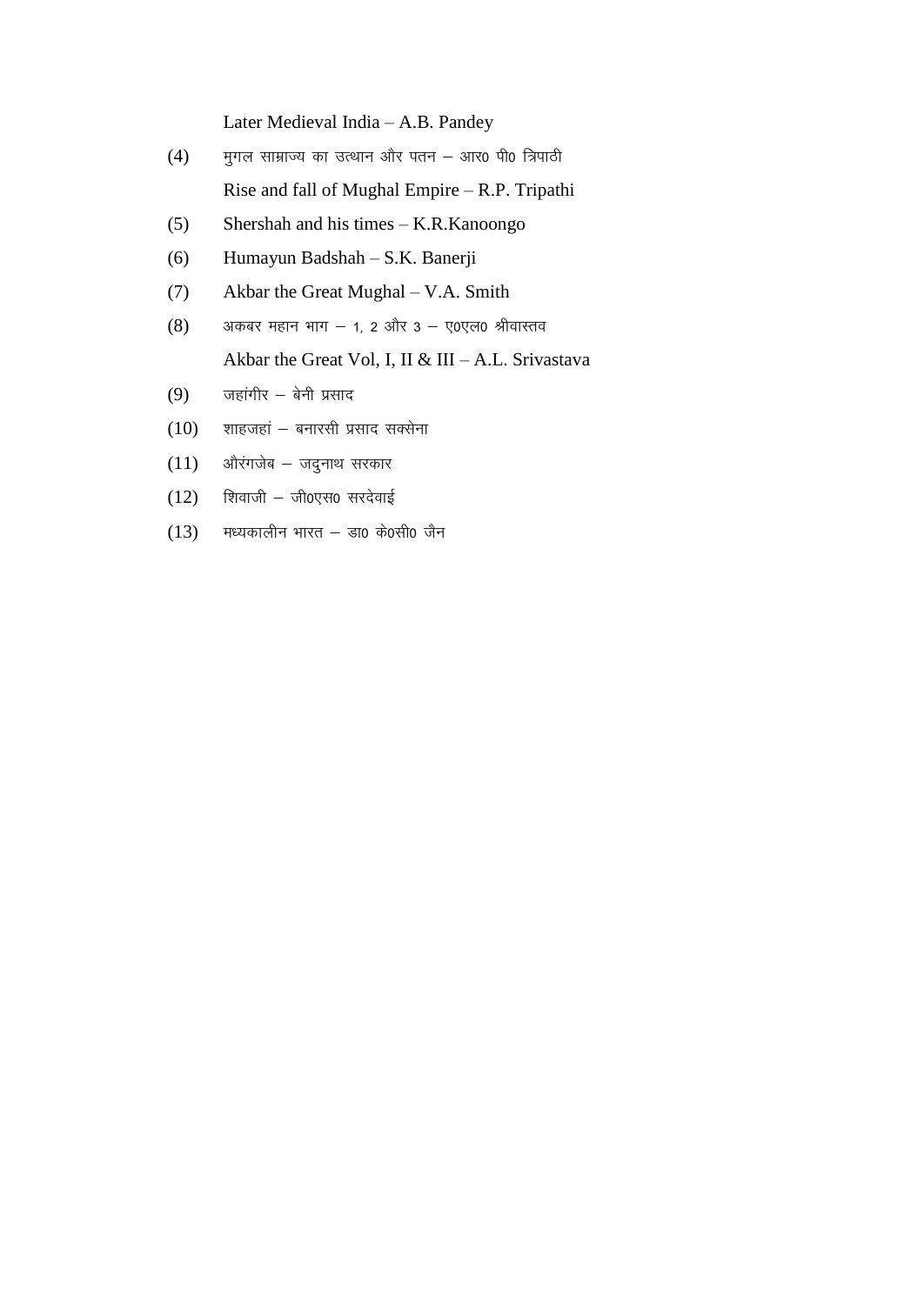Later Medieval India – A.B. Pandey

- $(4)$  मुगल साम्राज्य का उत्थान और पतन आर0 पी0 त्रिपाठी Rise and fall of Mughal Empire – R.P. Tripathi
- (5) Shershah and his times K.R.Kanoongo
- (6) Humayun Badshah S.K. Banerji
- (7) Akbar the Great Mughal V.A. Smith
- $(8)$  अकबर महान भाग  $-$  1, 2 और 3  $-$  ए0एल0 श्रीवास्तव Akbar the Great Vol, I, II & III – A.L. Srivastava
- $(9)$  जहांगीर बेनी प्रसाद
- $(10)$  शाहजहां बनारसी प्रसाद सक्सेना
- $(11)$  औरंगजेब जदुनाथ सरकार
- $(12)$  शिवाजी जी0एस0 सरदेवाई
- $(13)$  मध्यकालीन भारत डा0 के0सी0 जैन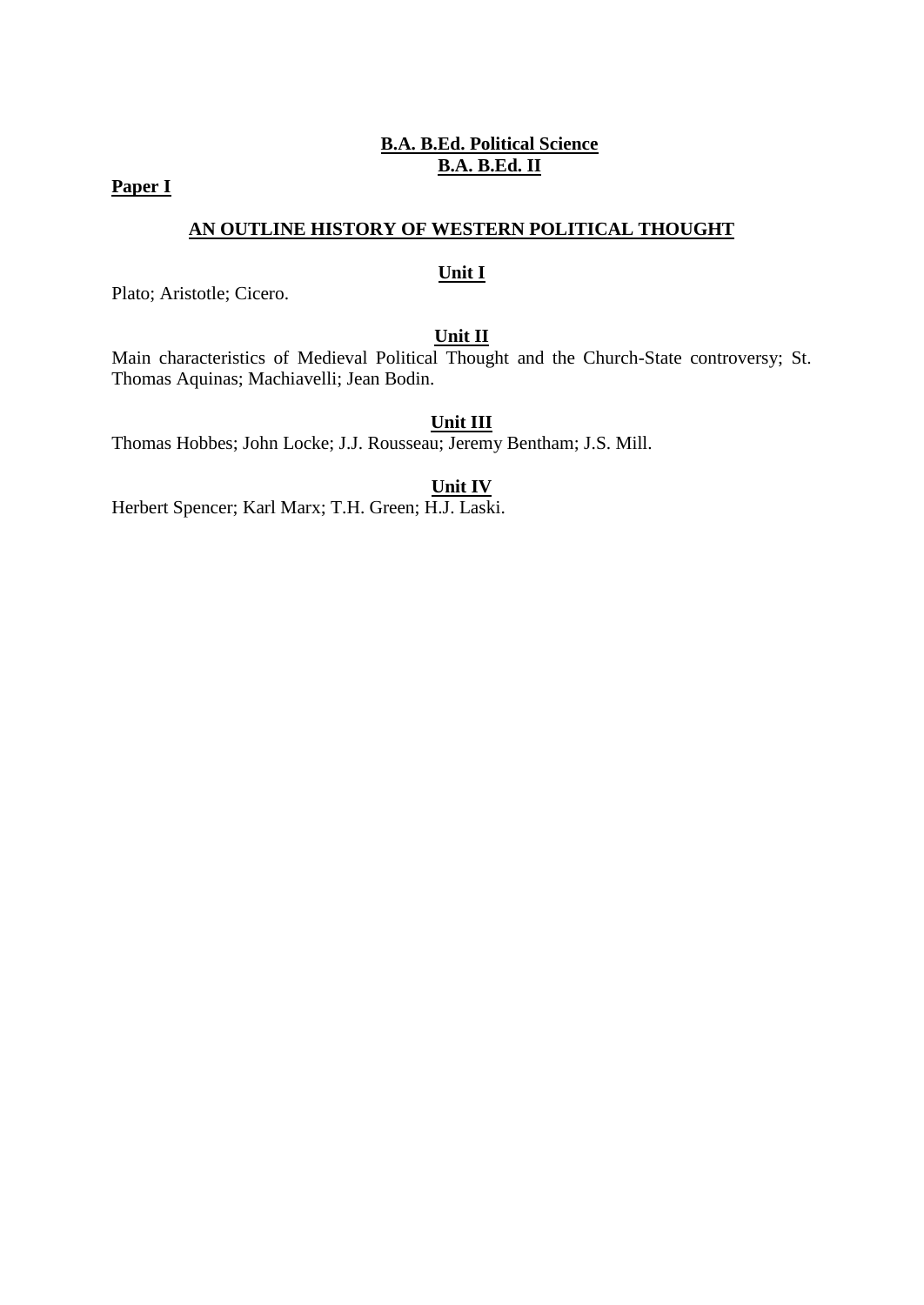# **B.A. B.Ed. Political Science B.A. B.Ed. II**

# **Paper I**

## **AN OUTLINE HISTORY OF WESTERN POLITICAL THOUGHT**

#### **Unit I**

Plato; Aristotle; Cicero.

## **Unit II**

Main characteristics of Medieval Political Thought and the Church-State controversy; St. Thomas Aquinas; Machiavelli; Jean Bodin.

### **Unit III**

Thomas Hobbes; John Locke; J.J. Rousseau; Jeremy Bentham; J.S. Mill.

#### **Unit IV**

Herbert Spencer; Karl Marx; T.H. Green; H.J. Laski.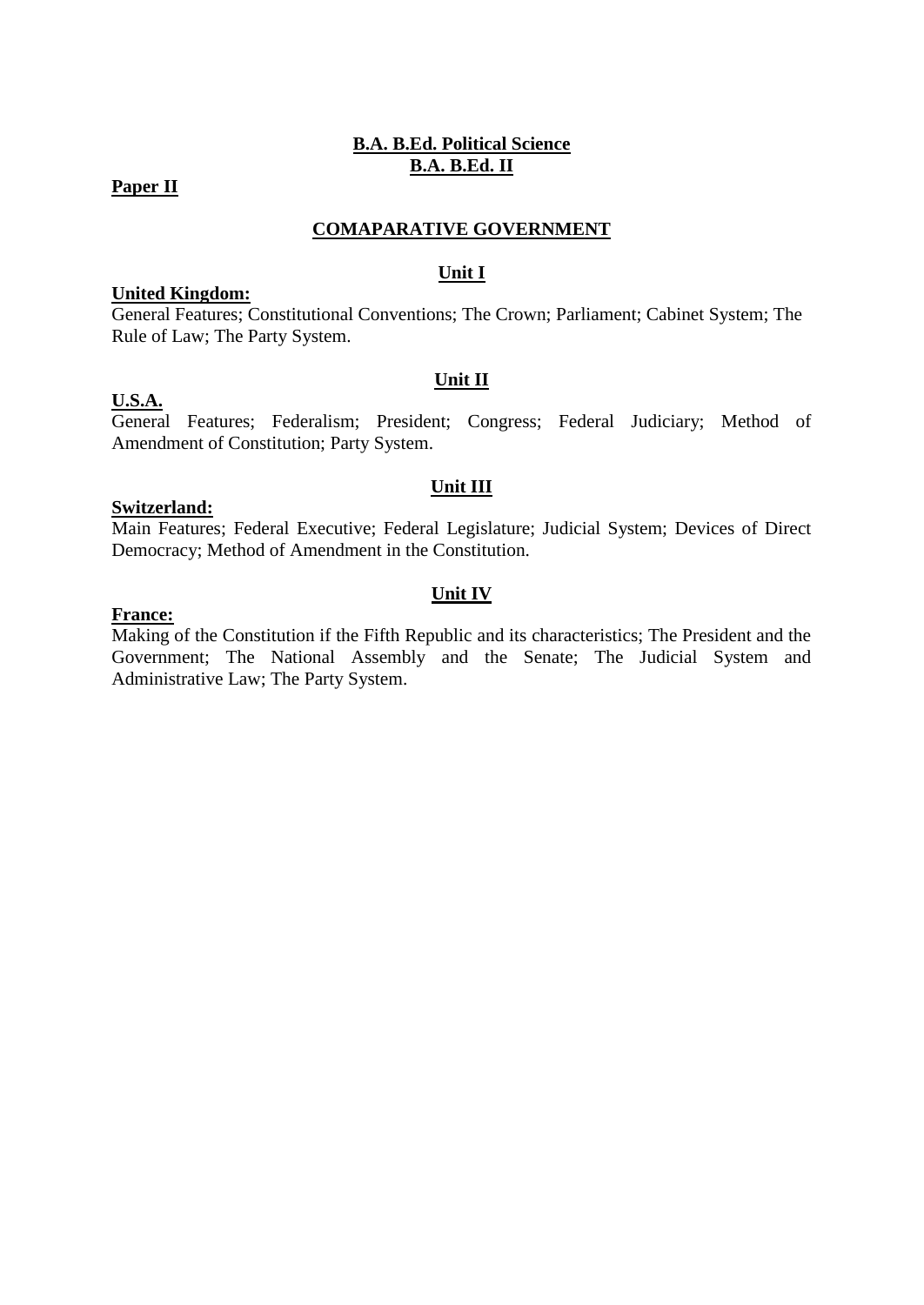# **B.A. B.Ed. Political Science B.A. B.Ed. II**

#### **Paper II**

### **COMAPARATIVE GOVERNMENT**

#### **Unit I**

#### **United Kingdom:**

General Features; Constitutional Conventions; The Crown; Parliament; Cabinet System; The Rule of Law; The Party System.

#### **Unit II**

## **U.S.A.**

General Features; Federalism; President; Congress; Federal Judiciary; Method of Amendment of Constitution; Party System.

#### **Unit III**

### **Switzerland:**

Main Features; Federal Executive; Federal Legislature; Judicial System; Devices of Direct Democracy; Method of Amendment in the Constitution.

## **Unit IV**

#### **France:**

Making of the Constitution if the Fifth Republic and its characteristics; The President and the Government; The National Assembly and the Senate; The Judicial System and Administrative Law; The Party System.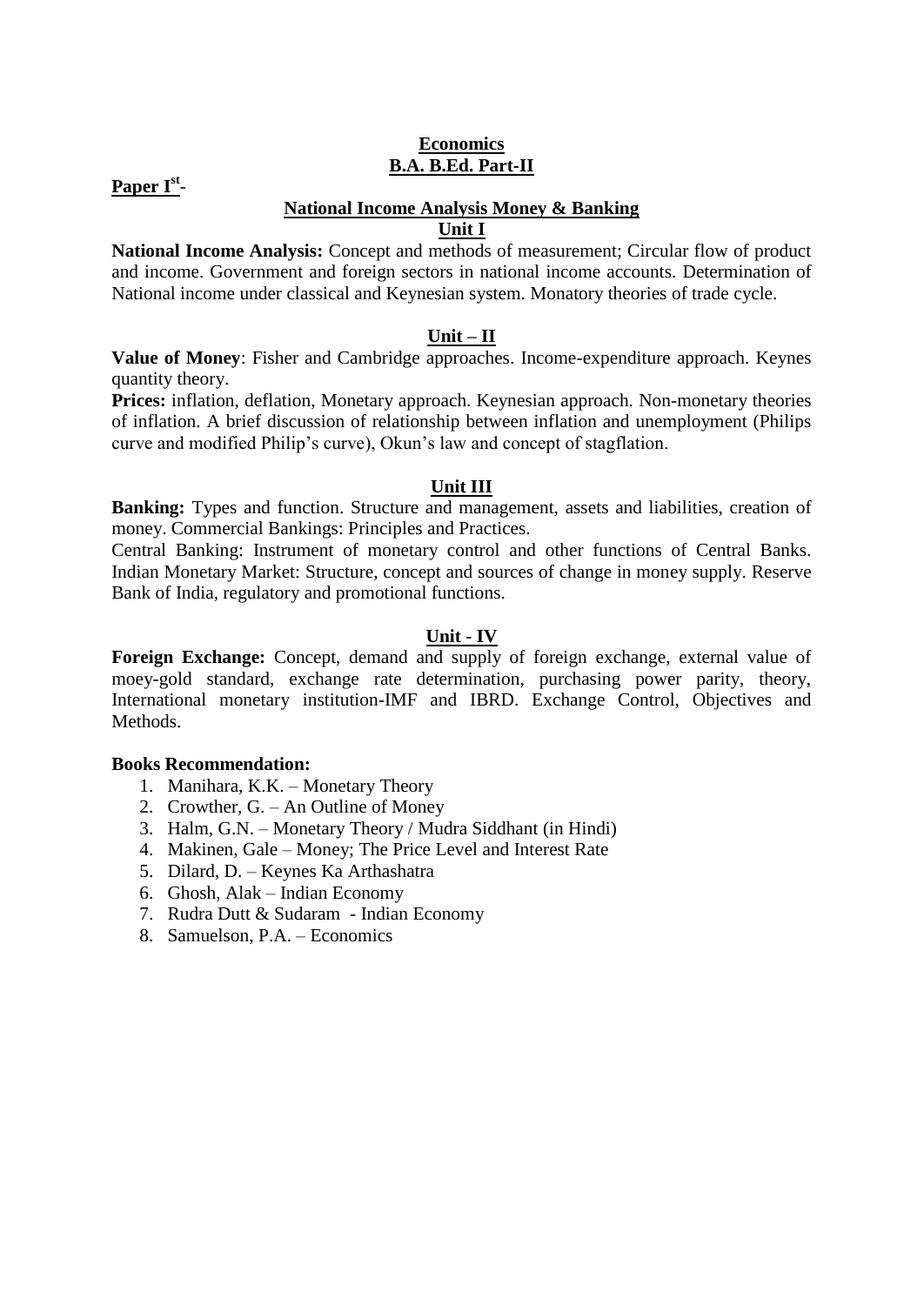### **Economics B.A. B.Ed. Part-II**

# **Paper Ist** -

#### **National Income Analysis Money & Banking**

## **Unit I**

**National Income Analysis:** Concept and methods of measurement; Circular flow of product and income. Government and foreign sectors in national income accounts. Determination of National income under classical and Keynesian system. Monatory theories of trade cycle.

#### **Unit – II**

**Value of Money**: Fisher and Cambridge approaches. Income-expenditure approach. Keynes quantity theory.

**Prices:** inflation, deflation, Monetary approach. Keynesian approach. Non-monetary theories of inflation. A brief discussion of relationship between inflation and unemployment (Philips curve and modified Philip's curve), Okun's law and concept of stagflation.

#### **Unit III**

**Banking:** Types and function. Structure and management, assets and liabilities, creation of money. Commercial Bankings: Principles and Practices.

Central Banking: Instrument of monetary control and other functions of Central Banks. Indian Monetary Market: Structure, concept and sources of change in money supply. Reserve Bank of India, regulatory and promotional functions.

#### **Unit - IV**

**Foreign Exchange:** Concept, demand and supply of foreign exchange, external value of moey-gold standard, exchange rate determination, purchasing power parity, theory, International monetary institution-IMF and IBRD. Exchange Control, Objectives and Methods.

#### **Books Recommendation:**

- 1. Manihara, K.K. Monetary Theory
- 2. Crowther, G. An Outline of Money
- 3. Halm, G.N. Monetary Theory / Mudra Siddhant (in Hindi)
- 4. Makinen, Gale Money; The Price Level and Interest Rate
- 5. Dilard, D. Keynes Ka Arthashatra
- 6. Ghosh, Alak Indian Economy
- 7. Rudra Dutt & Sudaram Indian Economy
- 8. Samuelson, P.A. Economics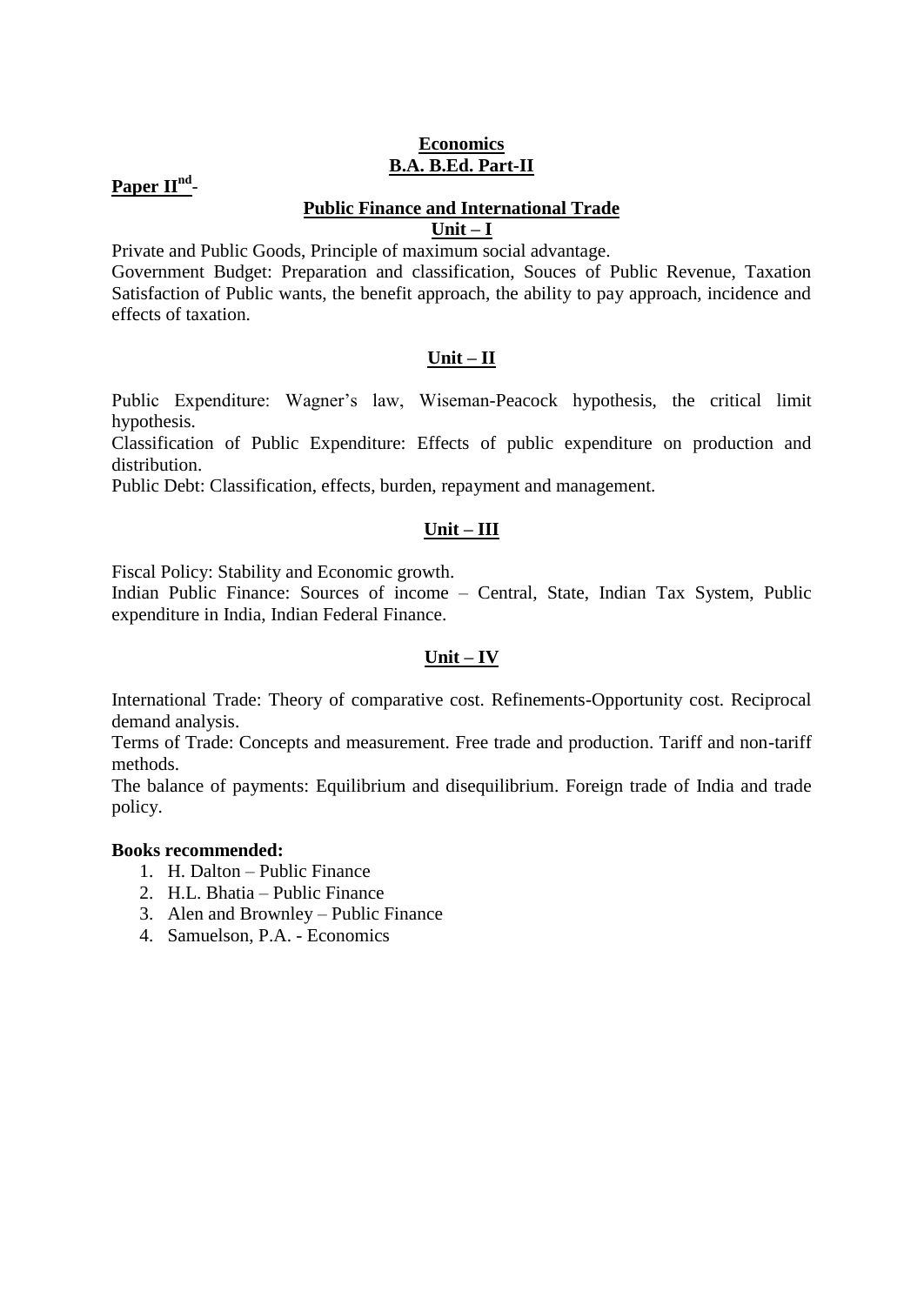### **Economics B.A. B.Ed. Part-II**

# **Paper IInd** -

#### **Public Finance and International Trade**

**Unit – I**

Private and Public Goods, Principle of maximum social advantage.

Government Budget: Preparation and classification, Souces of Public Revenue, Taxation Satisfaction of Public wants, the benefit approach, the ability to pay approach, incidence and effects of taxation.

#### **Unit – II**

Public Expenditure: Wagner's law, Wiseman-Peacock hypothesis, the critical limit hypothesis.

Classification of Public Expenditure: Effects of public expenditure on production and distribution.

Public Debt: Classification, effects, burden, repayment and management.

#### **Unit – III**

Fiscal Policy: Stability and Economic growth.

Indian Public Finance: Sources of income – Central, State, Indian Tax System, Public expenditure in India, Indian Federal Finance.

#### **Unit – IV**

International Trade: Theory of comparative cost. Refinements-Opportunity cost. Reciprocal demand analysis.

Terms of Trade: Concepts and measurement. Free trade and production. Tariff and non-tariff methods.

The balance of payments: Equilibrium and disequilibrium. Foreign trade of India and trade policy.

### **Books recommended:**

- 1. H. Dalton Public Finance
- 2. H.L. Bhatia Public Finance
- 3. Alen and Brownley Public Finance
- 4. Samuelson, P.A. Economics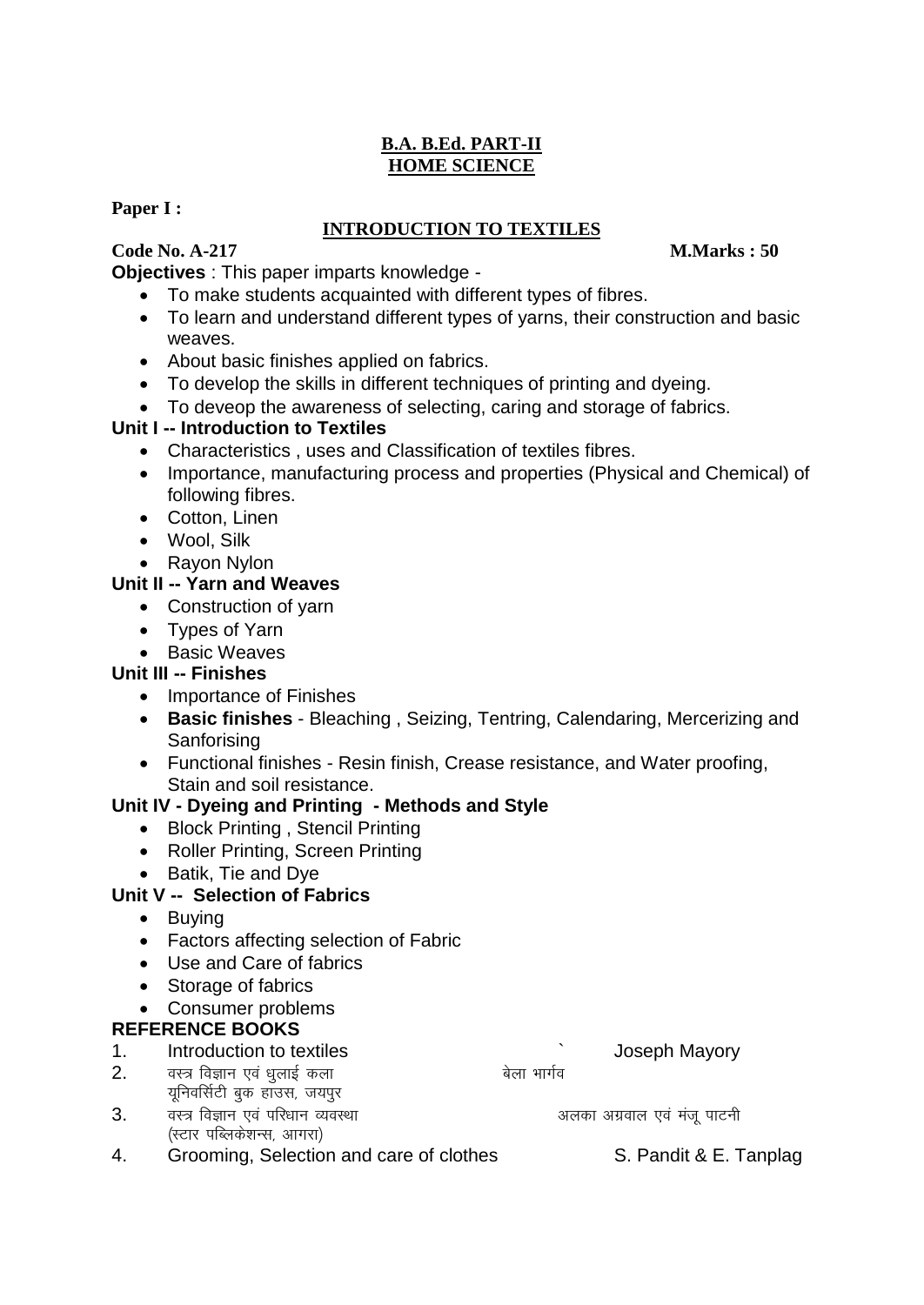# **B.A. B.Ed. PART-II HOME SCIENCE**

# **Paper I :**

# **INTRODUCTION TO TEXTILES**

# **Code No. A-217 M.Marks : 50**

**Objectives** : This paper imparts knowledge -

- To make students acquainted with different types of fibres.
- To learn and understand different types of yarns, their construction and basic weaves.
- About basic finishes applied on fabrics.
- To develop the skills in different techniques of printing and dyeing.
- To deveop the awareness of selecting, caring and storage of fabrics.

# **Unit I -- Introduction to Textiles**

- Characteristics , uses and Classification of textiles fibres.
- Importance, manufacturing process and properties (Physical and Chemical) of following fibres.
- Cotton, Linen
- Wool, Silk
- Rayon Nylon

# **Unit II -- Yarn and Weaves**

- Construction of varn
- Types of Yarn
- Basic Weaves

# **Unit III -- Finishes**

- Importance of Finishes
- **Basic finishes**  Bleaching , Seizing, Tentring, Calendaring, Mercerizing and **Sanforising**
- Functional finishes Resin finish, Crease resistance, and Water proofing, Stain and soil resistance.

# **Unit IV - Dyeing and Printing - Methods and Style**

- Block Printing, Stencil Printing
- Roller Printing, Screen Printing
- Batik, Tie and Dye

# **Unit V -- Selection of Fabrics**

- Buying
- Factors affecting selection of Fabric
- Use and Care of fabrics
- Storage of fabrics
- Consumer problems

# **REFERENCE BOOKS**

1. Introduction to textiles **intervalse and the Contract Contract Contract Contract Contract Contract Contract Contract Contract Contract Contract Contract Contract Contract Contract Contract Contract Contract Contract Con** 

- $2.$  aस्त्र विज्ञान एवं धूलाई कला यूनिवर्सिटी बुक हाउस, जयपुर
- 3. The four found of the four form of the form of the found value of  $\mathbf{a}$  is a set of  $\mathbf{a}$  and  $\mathbf{b}$  and  $\mathbf{b}$  and  $\mathbf{b}$  and  $\mathbf{c}$  and  $\mathbf{b}$  and  $\mathbf{c}$  and  $\mathbf{b}$  and  $\mathbf{c}$  and  $\mathbf{c}$  and (स्टार पब्लिकेशन्स, आगरा)

4. Grooming, Selection and care of clothes S. Pandit & E. Tanplag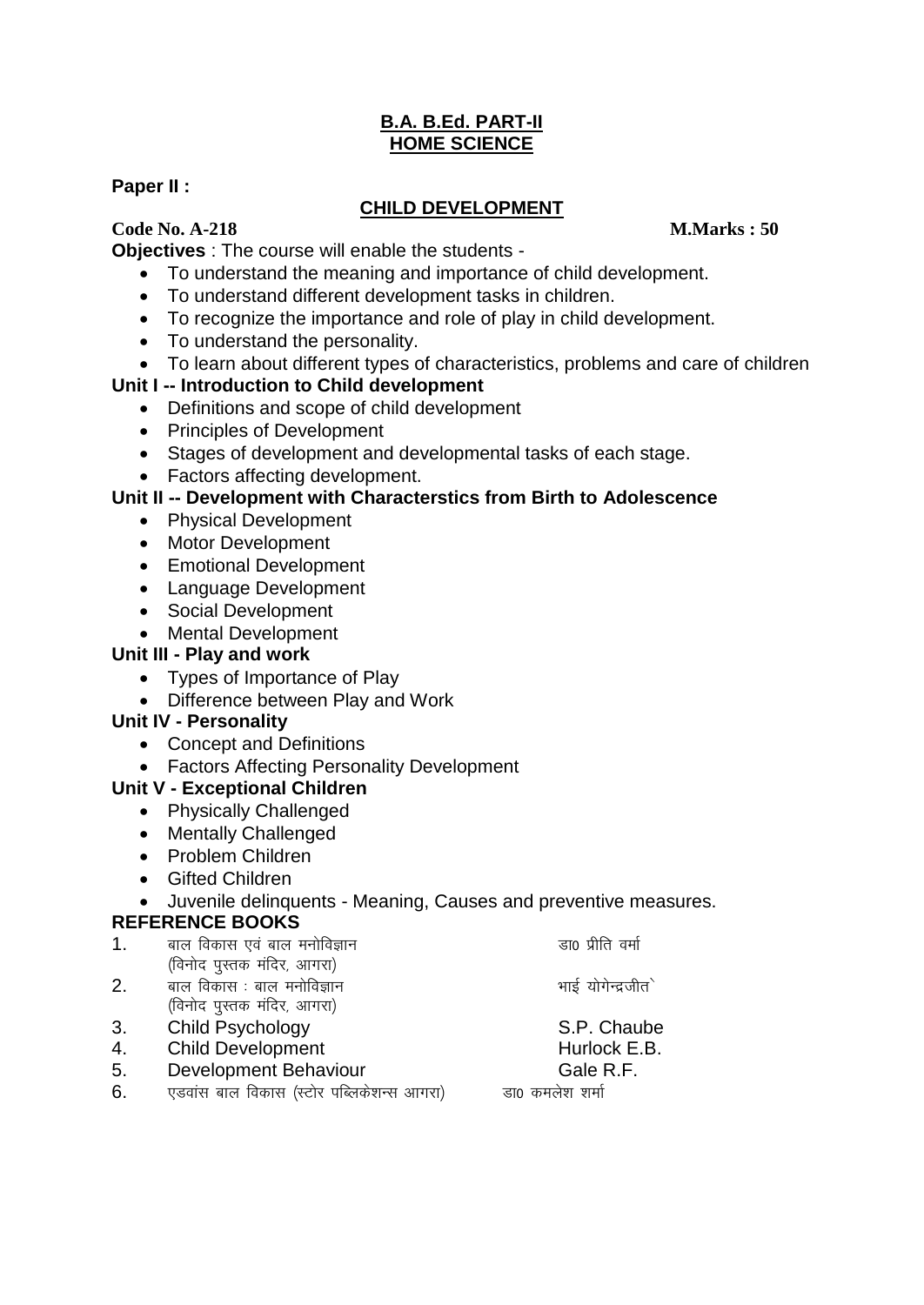# **B.A. B.Ed. PART-II HOME SCIENCE**

# **Paper II :**

# **CHILD DEVELOPMENT**

**Code No. A-218 M.Marks : 50**

**Objectives** : The course will enable the students -

- To understand the meaning and importance of child development.
- To understand different development tasks in children.
- To recognize the importance and role of play in child development.
- To understand the personality.
- To learn about different types of characteristics, problems and care of children

# **Unit I -- Introduction to Child development**

- Definitions and scope of child development
- Principles of Development
- Stages of development and developmental tasks of each stage.
- Factors affecting development.

# **Unit II -- Development with Characterstics from Birth to Adolescence**

- Physical Development
- Motor Development
- Emotional Development
- Language Development
- Social Development
- Mental Development

# **Unit III - Play and work**

- Types of Importance of Play
- Difference between Play and Work

# **Unit IV - Personality**

- Concept and Definitions
- Factors Affecting Personality Development

# **Unit V - Exceptional Children**

- Physically Challenged
- Mentally Challenged
- Problem Children
- Gifted Children
- Juvenile delinquents Meaning, Causes and preventive measures.

# **REFERENCE BOOKS**

- $1.$  and विकास एवं बाल मनोविज्ञान which we can construct a capacity of  $\overline{a}$  and  $\overline{b}$ (विनोद पुस्तक मंदिर, आगरा)
- $2.$  and विकास : बाल मनोविज्ञान  $\overline{\phantom{a}}$  and  $\overline{\phantom{a}}$  and  $\overline{\phantom{a}}$  and  $\overline{\phantom{a}}$  and  $\overline{\phantom{a}}$ (विनोद पुस्तक मंदिर, आगरा)
- 3. Child Psychology S.P. Chaube
- 4. Child Development **Hurlock E.B.**
- 5. Development Behaviour Cale R.F.
- 6. ,Mokal cky fodkl ¼LVksj ifCyds'kUl vkxjk½ Mk0 deys'k 'kekZ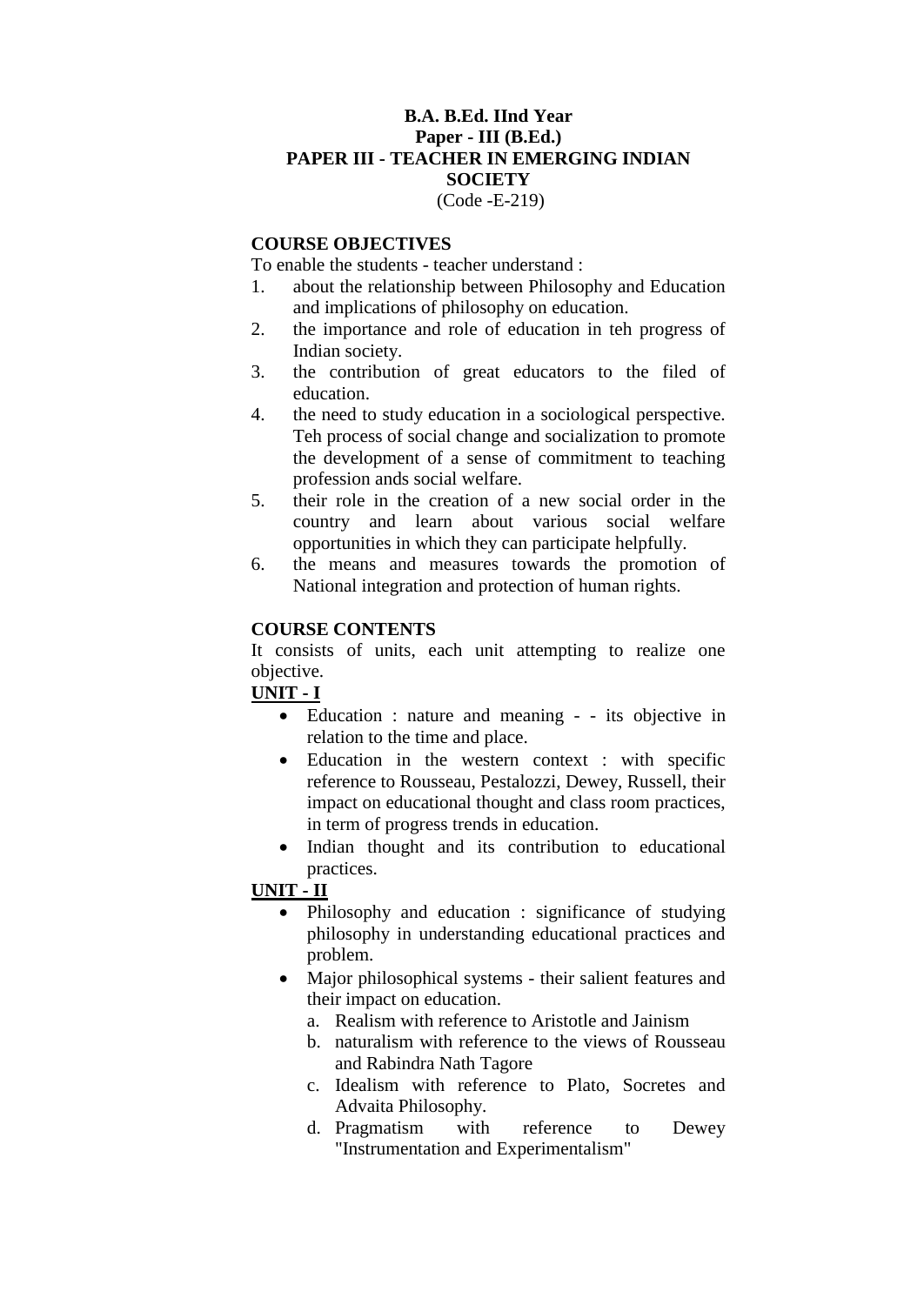#### **B.A. B.Ed. IInd Year Paper - III (B.Ed.) PAPER III - TEACHER IN EMERGING INDIAN SOCIETY**  (Code -E-219)

#### **COURSE OBJECTIVES**

To enable the students - teacher understand :

- 1. about the relationship between Philosophy and Education and implications of philosophy on education.
- 2. the importance and role of education in teh progress of Indian society.
- 3. the contribution of great educators to the filed of education.
- 4. the need to study education in a sociological perspective. Teh process of social change and socialization to promote the development of a sense of commitment to teaching profession ands social welfare.
- 5. their role in the creation of a new social order in the country and learn about various social welfare opportunities in which they can participate helpfully.
- 6. the means and measures towards the promotion of National integration and protection of human rights.

#### **COURSE CONTENTS**

It consists of units, each unit attempting to realize one objective.

#### **UNIT - I**

- Education : nature and meaning - its objective in relation to the time and place.
- Education in the western context : with specific reference to Rousseau, Pestalozzi, Dewey, Russell, their impact on educational thought and class room practices, in term of progress trends in education.
- Indian thought and its contribution to educational practices.

#### **UNIT - II**

- Philosophy and education : significance of studying philosophy in understanding educational practices and problem.
- Major philosophical systems their salient features and their impact on education.
	- a. Realism with reference to Aristotle and Jainism
	- b. naturalism with reference to the views of Rousseau and Rabindra Nath Tagore
	- c. Idealism with reference to Plato, Socretes and Advaita Philosophy.
	- d. Pragmatism with reference to Dewey "Instrumentation and Experimentalism"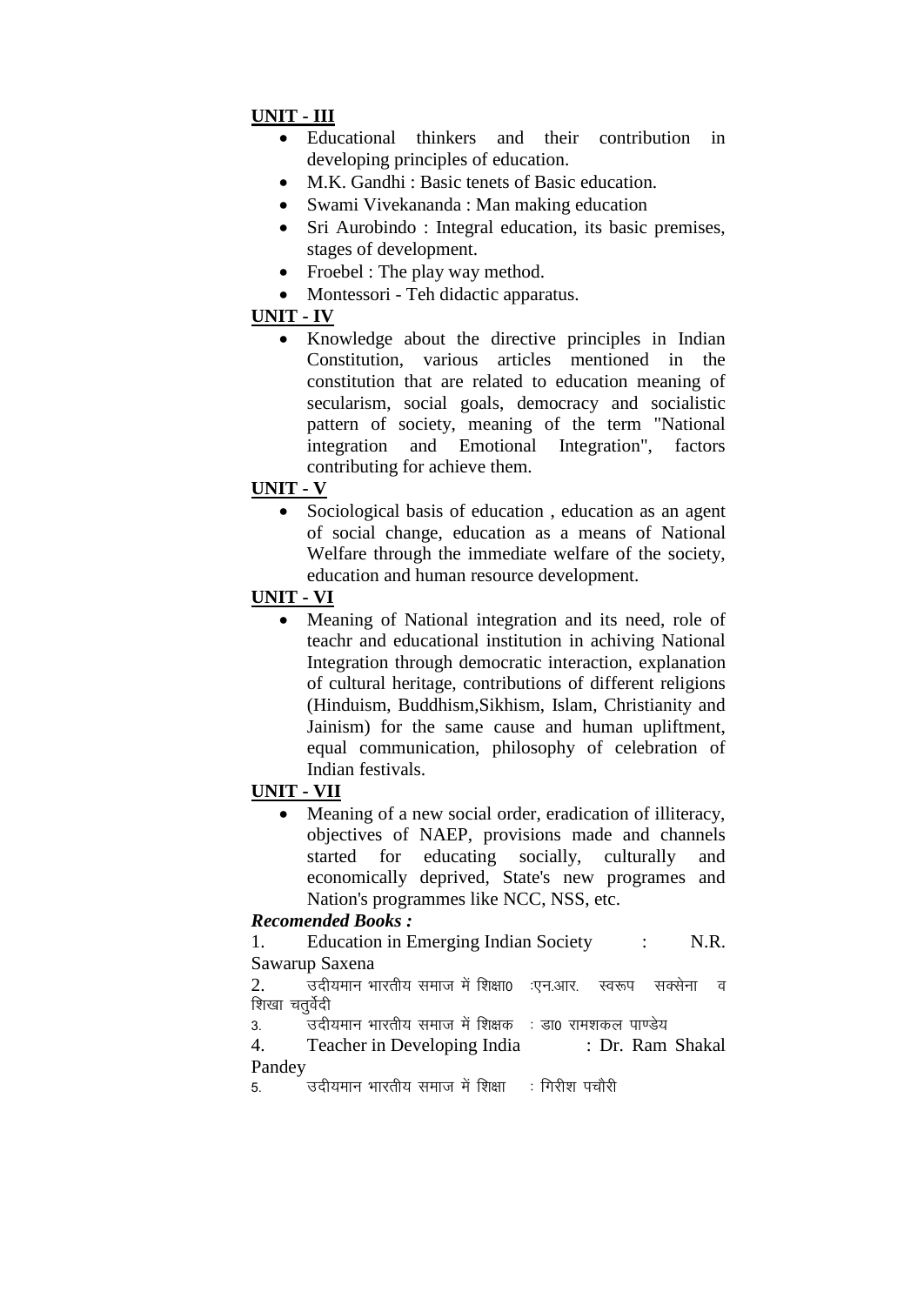# **UNIT - III**

- Educational thinkers and their contribution in developing principles of education.
- M.K. Gandhi : Basic tenets of Basic education.
- Swami Vivekananda : Man making education
- Sri Aurobindo : Integral education, its basic premises, stages of development.
- Froebel : The play way method.
- Montessori Teh didactic apparatus.

# **UNIT - IV**

• Knowledge about the directive principles in Indian Constitution, various articles mentioned in the constitution that are related to education meaning of secularism, social goals, democracy and socialistic pattern of society, meaning of the term "National integration and Emotional Integration", factors contributing for achieve them.

# **UNIT - V**

• Sociological basis of education, education as an agent of social change, education as a means of National Welfare through the immediate welfare of the society, education and human resource development.

# **UNIT - VI**

• Meaning of National integration and its need, role of teachr and educational institution in achiving National Integration through democratic interaction, explanation of cultural heritage, contributions of different religions (Hinduism, Buddhism,Sikhism, Islam, Christianity and Jainism) for the same cause and human upliftment, equal communication, philosophy of celebration of Indian festivals.

## **UNIT - VII**

 Meaning of a new social order, eradication of illiteracy, objectives of NAEP, provisions made and channels started for educating socially, culturally and economically deprived, State's new programes and Nation's programmes like NCC, NSS, etc.

# *Recomended Books :*

1. Education in Emerging Indian Society : N.R. Sawarup Saxena

 $2.$  व्हियमान भारतीय समाज में शिक्षा0 :एन.आर. स्वरूप सक्सेना व शिखा चतर्वेदी

3- mnh;eku Hkkjrh; lekt esa f'k{kd % Mk0 jke'kdy ik.Ms;

4. Teacher in Developing India : Dr. Ram Shakal Pandey

5. विदीयमान भारतीय समाज में शिक्षा कार मिरीश पचौरी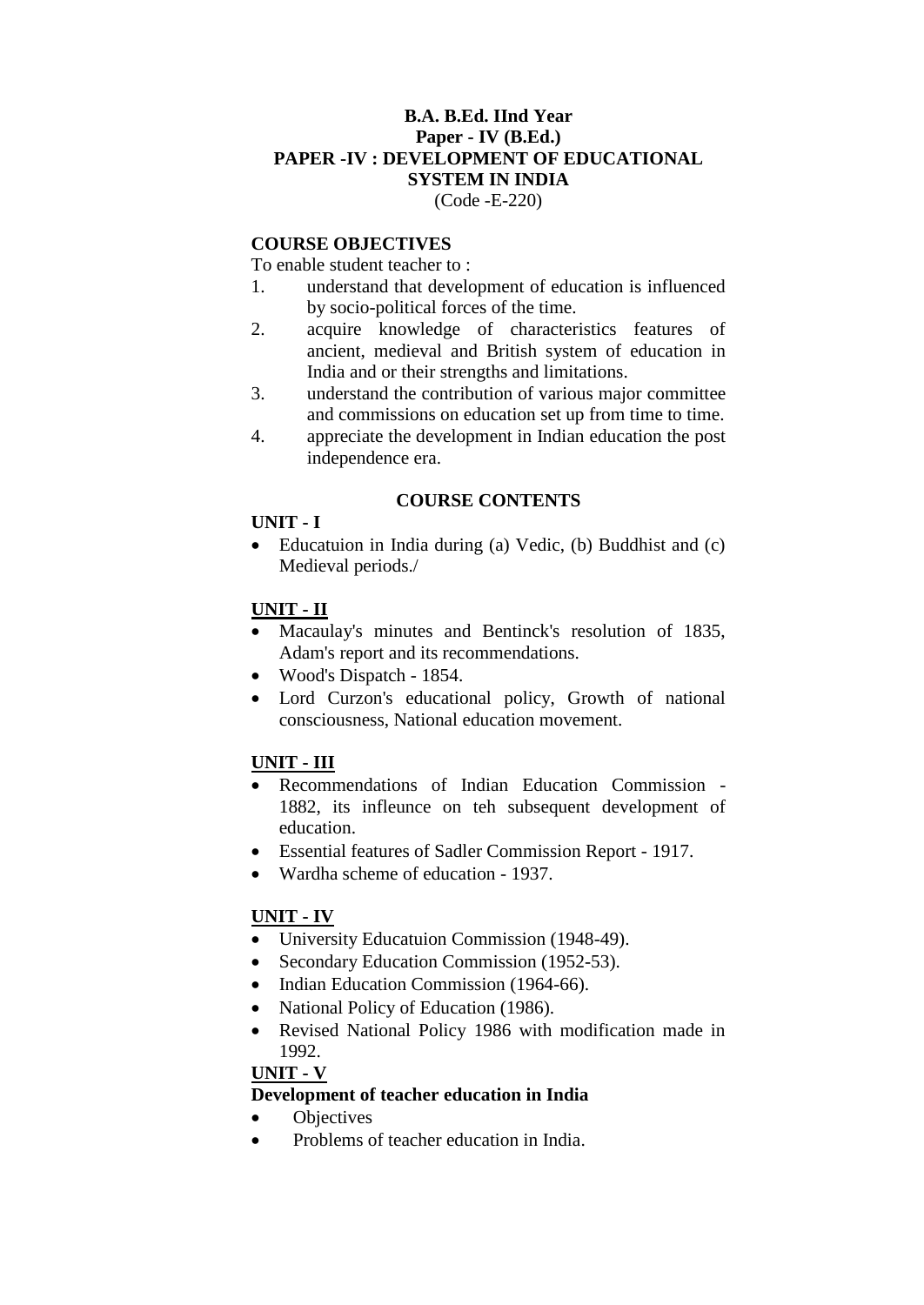#### **B.A. B.Ed. IInd Year Paper - IV (B.Ed.) PAPER -IV : DEVELOPMENT OF EDUCATIONAL SYSTEM IN INDIA**  (Code -E-220)

### **COURSE OBJECTIVES**

To enable student teacher to :

- 1. understand that development of education is influenced by socio-political forces of the time.
- 2. acquire knowledge of characteristics features of ancient, medieval and British system of education in India and or their strengths and limitations.
- 3. understand the contribution of various major committee and commissions on education set up from time to time.
- 4. appreciate the development in Indian education the post independence era.

#### **COURSE CONTENTS**

#### **UNIT - I**

 Educatuion in India during (a) Vedic, (b) Buddhist and (c) Medieval periods./

## **UNIT - II**

- Macaulay's minutes and Bentinck's resolution of 1835, Adam's report and its recommendations.
- Wood's Dispatch 1854.
- Lord Curzon's educational policy, Growth of national consciousness, National education movement.

# **UNIT - III**

- Recommendations of Indian Education Commission 1882, its infleunce on teh subsequent development of education.
- Essential features of Sadler Commission Report 1917.
- Wardha scheme of education 1937.

## **UNIT - IV**

- University Educatuion Commission (1948-49).
- Secondary Education Commission (1952-53).
- Indian Education Commission (1964-66).
- National Policy of Education (1986).
- Revised National Policy 1986 with modification made in 1992.

#### **UNIT - V**

# **Development of teacher education in India**

- Objectives
- Problems of teacher education in India.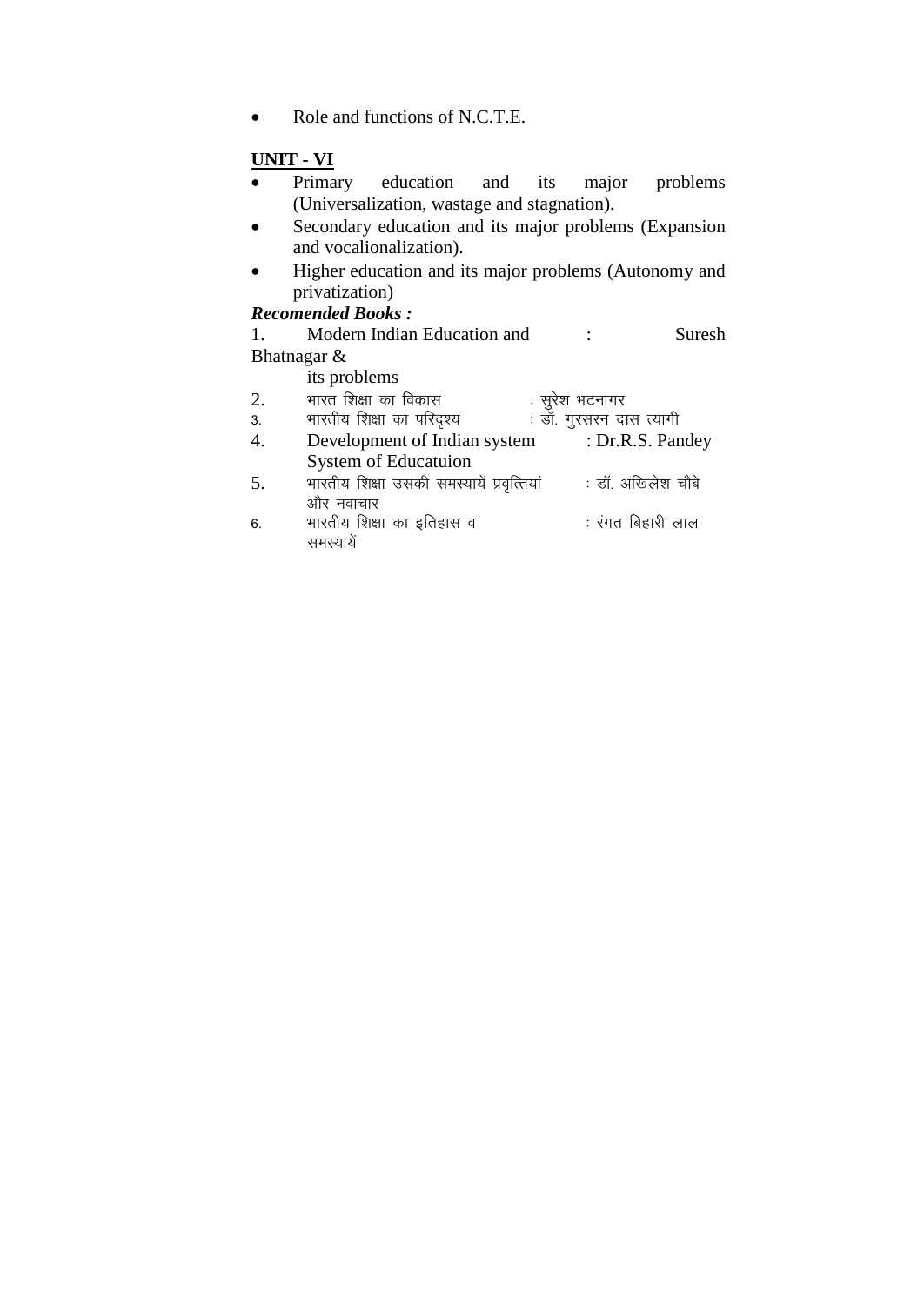• Role and functions of N.C.T.E.

- **UNIT - VI**  • Primary education and its major problems (Universalization, wastage and stagnation).
- Secondary education and its major problems (Expansion and vocalionalization).
- Higher education and its major problems (Autonomy and privatization)

# *Recomended Books :*

1. Modern Indian Education and : Suresh Bhatnagar &

its problems

| 2. | भारत शिक्षा का विकास                      | : सुरेश भटनागर          |
|----|-------------------------------------------|-------------------------|
| 3. | भारतीय शिक्षा का परिदृश्य                 | . डॉ. गुरसरन दास त्यागी |
|    | Development of Indian system              | : Dr.R.S. Pandey        |
|    | <b>System of Educatuion</b>               |                         |
| 5. | भारतीय शिक्षा उसकी समस्यायें प्रवृत्तियां | : डॉ. अखिलेश चौबे       |
|    | और नवाचार                                 |                         |
| 6. | भारतीय शिक्षा का इतिहास व                 | : रंगत बिहारी लाल       |
|    |                                           |                         |
|    |                                           |                         |